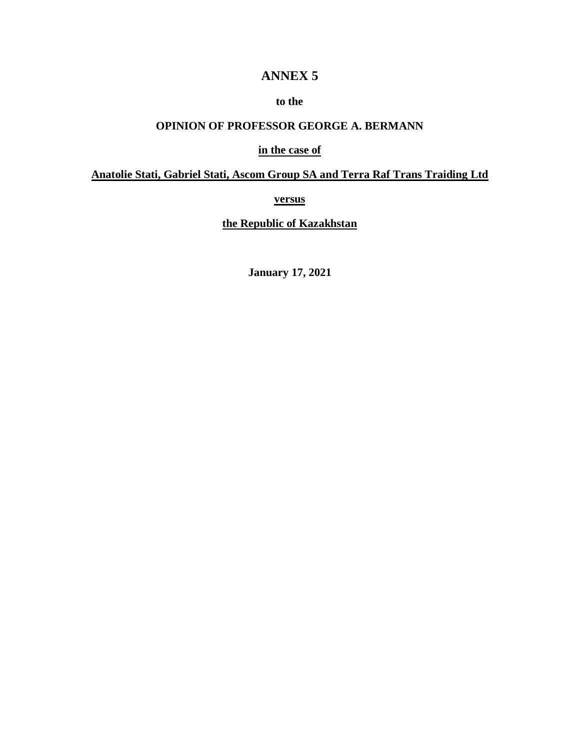# **ANNEX 5**

# **to the**

# **OPINION OF PROFESSOR GEORGE A. BERMANN**

### **in the case of**

# **Anatolie Stati, Gabriel Stati, Ascom Group SA and Terra Raf Trans Traiding Ltd**

**versus**

**the Republic of Kazakhstan**

**January 17, 2021**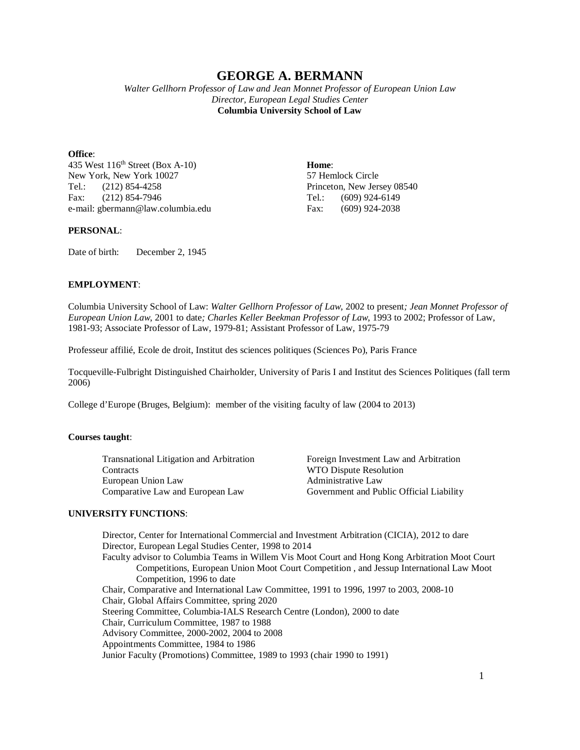# **GEORGE A. BERMANN**

*Walter Gellhorn Professor of Law and Jean Monnet Professor of European Union Law Director, European Legal Studies Center* **Columbia University School of Law**

**Office**:

435 West 116th Street (Box A-10) **Home**: New York, New York 10027 57 Hemlock Circle<br>
Tel.: (212) 854-4258 Princeton, New Jer Fax: (212) 854-7946 Tel.: (609) 924-6149 e-mail: gbermann@law.columbia.edu Fax: (609) 924-2038

Princeton, New Jersey 08540

#### **PERSONAL**:

Date of birth: December 2, 1945

#### **EMPLOYMENT**:

Columbia University School of Law: *Walter Gellhorn Professor of Law*, 2002 to present*; Jean Monnet Professor of European Union Law*, 2001 to date*; Charles Keller Beekman Professor of Law*, 1993 to 2002; Professor of Law, 1981-93; Associate Professor of Law, 1979-81; Assistant Professor of Law, 1975-79

Professeur affilié, Ecole de droit, Institut des sciences politiques (Sciences Po), Paris France

Tocqueville-Fulbright Distinguished Chairholder, University of Paris I and Institut des Sciences Politiques (fall term 2006)

College d'Europe (Bruges, Belgium): member of the visiting faculty of law (2004 to 2013)

#### **Courses taught**:

Transnational Litigation and Arbitration Foreign Investment Law and Arbitration Contracts WTO Dispute Resolution<br>
European Union Law Administrative Law European Union Law Comparative Law and European Law Government and Public Official Liability

#### **UNIVERSITY FUNCTIONS**:

Director, Center for International Commercial and Investment Arbitration (CICIA), 2012 to dare Director, European Legal Studies Center, 1998 to 2014 Faculty advisor to Columbia Teams in Willem Vis Moot Court and Hong Kong Arbitration Moot Court Competitions, European Union Moot Court Competition , and Jessup International Law Moot Competition, 1996 to date Chair, Comparative and International Law Committee, 1991 to 1996, 1997 to 2003, 2008-10 Chair, Global Affairs Committee, spring 2020 Steering Committee, Columbia-IALS Research Centre (London), 2000 to date Chair, Curriculum Committee, 1987 to 1988 Advisory Committee, 2000-2002, 2004 to 2008 Appointments Committee, 1984 to 1986 Junior Faculty (Promotions) Committee, 1989 to 1993 (chair 1990 to 1991)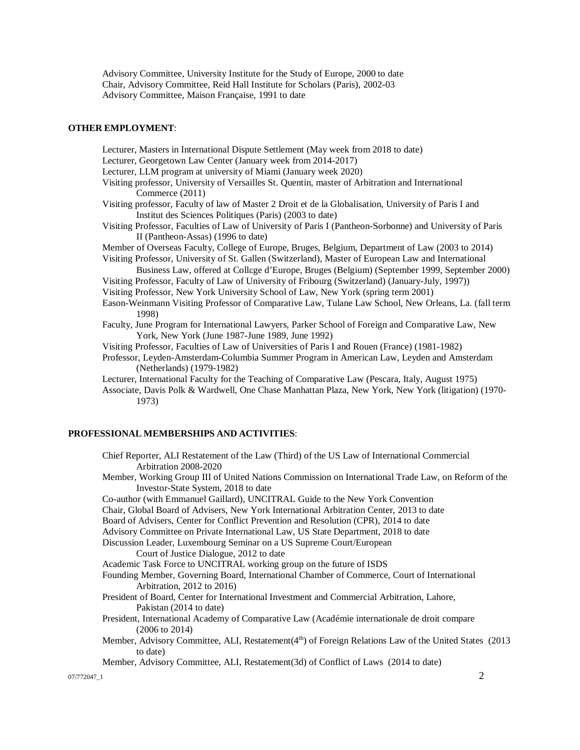Advisory Committee, University Institute for the Study of Europe, 2000 to date Chair, Advisory Committee, Reid Hall Institute for Scholars (Paris), 2002-03 Advisory Committee, Maison Française, 1991 to date

#### **OTHER EMPLOYMENT**:

Lecturer, Masters in International Dispute Settlement (May week from 2018 to date) Lecturer, Georgetown Law Center (January week from 2014-2017) Lecturer, LLM program at university of Miami (January week 2020) Visiting professor, University of Versailles St. Quentin, master of Arbitration and International Commerce (2011) Visiting professor, Faculty of law of Master 2 Droit et de la Globalisation, University of Paris I and Institut des Sciences Politiques (Paris) (2003 to date) Visiting Professor, Faculties of Law of University of Paris I (Pantheon-Sorbonne) and University of Paris II (Pantheon-Assas) (1996 to date) Member of Overseas Faculty, College of Europe, Bruges, Belgium, Department of Law (2003 to 2014) Visiting Professor, University of St. Gallen (Switzerland), Master of European Law and International Business Law, offered at Collεge d'Europe, Bruges (Belgium) (September 1999, September 2000) Visiting Professor, Faculty of Law of University of Fribourg (Switzerland) (January-July, 1997)) Visiting Professor, New York University School of Law, New York (spring term 2001) Eason-Weinmann Visiting Professor of Comparative Law, Tulane Law School, New Orleans, La. (fall term 1998) Faculty, June Program for International Lawyers, Parker School of Foreign and Comparative Law, New York, New York (June 1987-June 1989, June 1992) Visiting Professor, Faculties of Law of Universities of Paris I and Rouen (France) (1981-1982) Professor, Leyden-Amsterdam-Columbia Summer Program in American Law, Leyden and Amsterdam (Netherlands) (1979-1982) Lecturer, International Faculty for the Teaching of Comparative Law (Pescara, Italy, August 1975)

Associate, Davis Polk & Wardwell, One Chase Manhattan Plaza, New York, New York (litigation) (1970- 1973)

#### **PROFESSIONAL MEMBERSHIPS AND ACTIVITIES**:

Chief Reporter, ALI Restatement of the Law (Third) of the US Law of International Commercial Arbitration 2008-2020

Member, Working Group III of United Nations Commission on International Trade Law, on Reform of the Investor-State System, 2018 to date

Co-author (with Emmanuel Gaillard), UNCITRAL Guide to the New York Convention

Chair, Global Board of Advisers, New York International Arbitration Center, 2013 to date

Board of Advisers, Center for Conflict Prevention and Resolution (CPR), 2014 to date

Advisory Committee on Private International Law, US State Department, 2018 to date

Discussion Leader, Luxembourg Seminar on a US Supreme Court/European

Court of Justice Dialogue, 2012 to date

Academic Task Force to UNCITRAL working group on the future of ISDS

Founding Member, Governing Board, International Chamber of Commerce, Court of International Arbitration, 2012 to 2016)

President of Board, Center for International Investment and Commercial Arbitration, Lahore, Pakistan (2014 to date)

- President, International Academy of Comparative Law (Académie internationale de droit compare (2006 to 2014)
- Member, Advisory Committee, ALI, Restatement(4<sup>th</sup>) of Foreign Relations Law of the United States (2013 to date)

Member, Advisory Committee, ALI, Restatement(3d) of Conflict of Laws (2014 to date)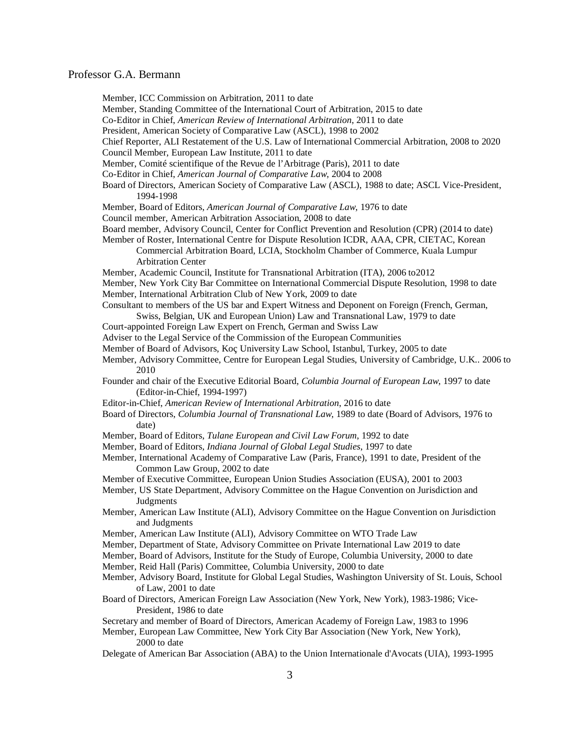Member, ICC Commission on Arbitration, 2011 to date

Member, Standing Committee of the International Court of Arbitration, 2015 to date

Co-Editor in Chief, *American Review of International Arbitration*, 2011 to date

- President, American Society of Comparative Law (ASCL), 1998 to 2002
- Chief Reporter, ALI Restatement of the U.S. Law of International Commercial Arbitration, 2008 to 2020 Council Member, European Law Institute, 2011 to date
- Member, Comité scientifique of the Revue de l'Arbitrage (Paris), 2011 to date
- Co-Editor in Chief, *American Journal of Comparative Law*, 2004 to 2008
- Board of Directors, American Society of Comparative Law (ASCL), 1988 to date; ASCL Vice-President, 1994-1998
- Member, Board of Editors, *American Journal of Comparative Law*, 1976 to date
- Council member, American Arbitration Association, 2008 to date
- Board member, Advisory Council, Center for Conflict Prevention and Resolution (CPR) (2014 to date)
- Member of Roster, International Centre for Dispute Resolution ICDR, AAA, CPR, CIETAC, Korean Commercial Arbitration Board, LCIA, Stockholm Chamber of Commerce, Kuala Lumpur

Arbitration Center

Member, Academic Council, Institute for Transnational Arbitration (ITA), 2006 to2012

Member, New York City Bar Committee on International Commercial Dispute Resolution, 1998 to date Member, International Arbitration Club of New York, 2009 to date

Consultant to members of the US bar and Expert Witness and Deponent on Foreign (French, German, Swiss, Belgian, UK and European Union) Law and Transnational Law, 1979 to date

- Court-appointed Foreign Law Expert on French, German and Swiss Law
- Adviser to the Legal Service of the Commission of the European Communities
- Member of Board of Advisors, Koç University Law School, Istanbul, Turkey, 2005 to date
- 
- Member, Advisory Committee, Centre for European Legal Studies, University of Cambridge, U.K.. 2006 to 2010
- Founder and chair of the Executive Editorial Board, *Columbia Journal of European Law*, 1997 to date (Editor-in-Chief, 1994-1997)
- Editor-in-Chief, *American Review of International Arbitration*, 2016 to date
- Board of Directors, *Columbia Journal of Transnational Law*, 1989 to date (Board of Advisors, 1976 to date)
- Member, Board of Editors, *Tulane European and Civil Law Forum*, 1992 to date
- Member, Board of Editors, *Indiana Journal of Global Legal Studies*, 1997 to date

Member, International Academy of Comparative Law (Paris, France), 1991 to date, President of the Common Law Group, 2002 to date

- Member of Executive Committee, European Union Studies Association (EUSA), 2001 to 2003
- Member, US State Department, Advisory Committee on the Hague Convention on Jurisdiction and **Judgments**
- Member, American Law Institute (ALI), Advisory Committee on the Hague Convention on Jurisdiction and Judgments
- Member, American Law Institute (ALI), Advisory Committee on WTO Trade Law
- Member, Department of State, Advisory Committee on Private International Law 2019 to date
- Member, Board of Advisors, Institute for the Study of Europe, Columbia University, 2000 to date
- Member, Reid Hall (Paris) Committee, Columbia University, 2000 to date
- Member, Advisory Board, Institute for Global Legal Studies, Washington University of St. Louis, School of Law, 2001 to date
- Board of Directors, American Foreign Law Association (New York, New York), 1983-1986; Vice-President, 1986 to date

Secretary and member of Board of Directors, American Academy of Foreign Law, 1983 to 1996

- Member, European Law Committee, New York City Bar Association (New York, New York), 2000 to date
- Delegate of American Bar Association (ABA) to the Union Internationale d'Avocats (UIA), 1993-1995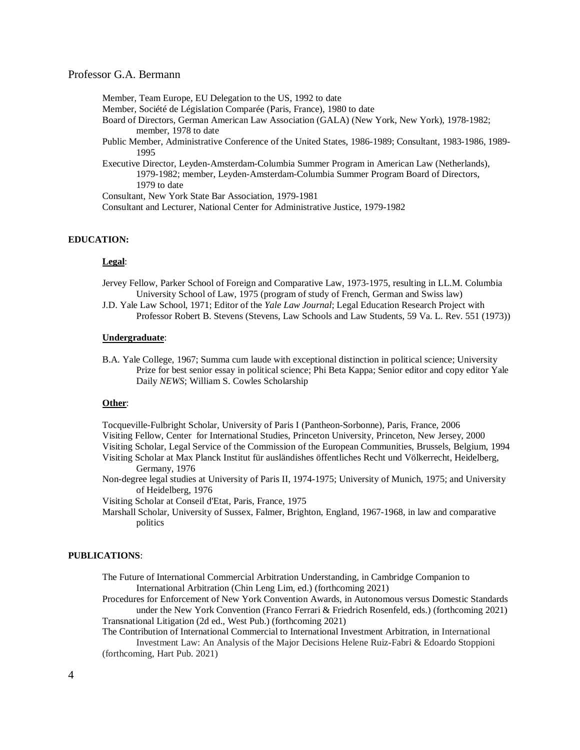- Member, Team Europe, EU Delegation to the US, 1992 to date
- Member, Société de Législation Comparée (Paris, France), 1980 to date
- Board of Directors, German American Law Association (GALA) (New York, New York), 1978-1982; member, 1978 to date
- Public Member, Administrative Conference of the United States, 1986-1989; Consultant, 1983-1986, 1989- 1995
- Executive Director, Leyden-Amsterdam-Columbia Summer Program in American Law (Netherlands), 1979-1982; member, Leyden-Amsterdam-Columbia Summer Program Board of Directors, 1979 to date

Consultant, New York State Bar Association, 1979-1981

Consultant and Lecturer, National Center for Administrative Justice, 1979-1982

#### **EDUCATION:**

#### **Legal**:

- Jervey Fellow, Parker School of Foreign and Comparative Law, 1973-1975, resulting in LL.M. Columbia University School of Law, 1975 (program of study of French, German and Swiss law)
- J.D. Yale Law School, 1971; Editor of the *Yale Law Journal*; Legal Education Research Project with Professor Robert B. Stevens (Stevens, Law Schools and Law Students, 59 Va. L. Rev. 551 (1973))

#### **Undergraduate**:

B.A. Yale College, 1967; Summa cum laude with exceptional distinction in political science; University Prize for best senior essay in political science; Phi Beta Kappa; Senior editor and copy editor Yale Daily *NEWS*; William S. Cowles Scholarship

#### **Other**:

Tocqueville-Fulbright Scholar, University of Paris I (Pantheon-Sorbonne), Paris, France, 2006 Visiting Fellow, Center for International Studies, Princeton University, Princeton, New Jersey, 2000 Visiting Scholar, Legal Service of the Commission of the European Communities, Brussels, Belgium, 1994 Visiting Scholar at Max Planck Institut für ausländishes öffentliches Recht und Völkerrecht, Heidelberg, Germany, 1976

Non-degree legal studies at University of Paris II, 1974-1975; University of Munich, 1975; and University of Heidelberg, 1976

Visiting Scholar at Conseil d'Etat, Paris, France, 1975

Marshall Scholar, University of Sussex, Falmer, Brighton, England, 1967-1968, in law and comparative politics

#### **PUBLICATIONS**:

- The Future of International Commercial Arbitration Understanding, in Cambridge Companion to International Arbitration (Chin Leng Lim, ed.) (forthcoming 2021)
- Procedures for Enforcement of New York Convention Awards, in Autonomous versus Domestic Standards under the New York Convention (Franco Ferrari & Friedrich Rosenfeld, eds.) (forthcoming 2021) Transnational Litigation (2d ed., West Pub.) (forthcoming 2021)

The Contribution of International Commercial to International Investment Arbitration, in International Investment Law: An Analysis of the Major Decisions Helene Ruiz-Fabri & Edoardo Stoppioni (forthcoming, Hart Pub. 2021)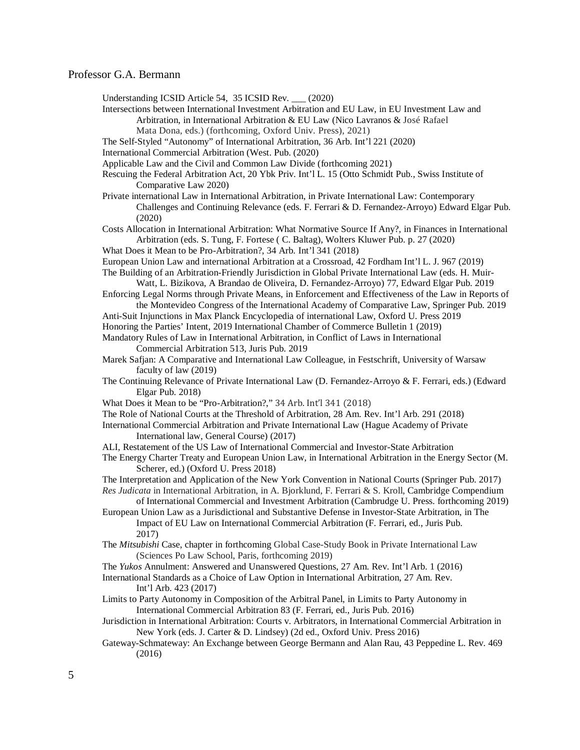Understanding ICSID Article 54, 35 ICSID Rev. \_\_\_ (2020)

Intersections between International Investment Arbitration and EU Law, in EU Investment Law and Arbitration, in International Arbitration & EU Law (Nico Lavranos & José Rafael

Mata Dona, eds.) (forthcoming, Oxford Univ. Press), 2021)

The Self-Styled "Autonomy" of International Arbitration, 36 Arb. Int'l 221 (2020)

International Commercial Arbitration (West. Pub. (2020)

Applicable Law and the Civil and Common Law Divide (forthcoming 2021)

Rescuing the Federal Arbitration Act, 20 Ybk Priv. Int'l L. 15 (Otto Schmidt Pub., Swiss Institute of Comparative Law 2020)

Private international Law in International Arbitration, in Private International Law: Contemporary Challenges and Continuing Relevance (eds. F. Ferrari & D. Fernandez-Arroyo) Edward Elgar Pub. (2020)

Costs Allocation in International Arbitration: What Normative Source If Any?, in Finances in International Arbitration (eds. S. Tung, F. Fortese ( C. Baltag), Wolters Kluwer Pub. p. 27 (2020)

What Does it Mean to be Pro-Arbitration?, 34 Arb. Int'l 341 (2018)

European Union Law and international Arbitration at a Crossroad, 42 Fordham Int'l L. J. 967 (2019) The Building of an Arbitration-Friendly Jurisdiction in Global Private International Law (eds. H. Muir-

Watt, L. Bizikova, A Brandao de Oliveira, D. Fernandez-Arroyo) 77, Edward Elgar Pub. 2019 Enforcing Legal Norms through Private Means, in Enforcement and Effectiveness of the Law in Reports of

the Montevideo Congress of the International Academy of Comparative Law, Springer Pub. 2019 Anti-Suit Injunctions in Max Planck Encyclopedia of international Law, Oxford U. Press 2019

Honoring the Parties' Intent, 2019 International Chamber of Commerce Bulletin 1 (2019)

Mandatory Rules of Law in International Arbitration, in Conflict of Laws in International Commercial Arbitration 513, Juris Pub. 2019

- Marek Safjan: A Comparative and International Law Colleague, in Festschrift, University of Warsaw faculty of law (2019)
- The Continuing Relevance of Private International Law (D. Fernandez-Arroyo & F. Ferrari, eds.) (Edward Elgar Pub. 2018)
- What Does it Mean to be "Pro-Arbitration?," 34 Arb. Int'l 341 (2018)

The Role of National Courts at the Threshold of Arbitration, 28 Am. Rev. Int'l Arb. 291 (2018)

International Commercial Arbitration and Private International Law (Hague Academy of Private International law, General Course) (2017)

ALI, Restatement of the US Law of International Commercial and Investor-State Arbitration

The Energy Charter Treaty and European Union Law, in International Arbitration in the Energy Sector (M. Scherer, ed.) (Oxford U. Press 2018)

The Interpretation and Application of the New York Convention in National Courts (Springer Pub. 2017) *Res Judicata* in International Arbitration, in A. Bjorklund, F. Ferrari & S. Kroll, Cambridge Compendium

of International Commercial and Investment Arbitration (Cambrudge U. Press. forthcoming 2019)

- European Union Law as a Jurisdictional and Substantive Defense in Investor-State Arbitration, in The Impact of EU Law on International Commercial Arbitration (F. Ferrari, ed., Juris Pub. 2017)
- The *Mitsubishi* Case, chapter in forthcoming Global Case-Study Book in Private International Law (Sciences Po Law School, Paris, forthcoming 2019)
- The *Yukos* Annulment: Answered and Unanswered Questions, 27 Am. Rev. Int'l Arb. 1 (2016)

International Standards as a Choice of Law Option in International Arbitration, 27 Am. Rev. Int'l Arb. 423 (2017)

Limits to Party Autonomy in Composition of the Arbitral Panel, in Limits to Party Autonomy in International Commercial Arbitration 83 (F. Ferrari, ed., Juris Pub. 2016)

Jurisdiction in International Arbitration: Courts v. Arbitrators, in International Commercial Arbitration in New York (eds. J. Carter & D. Lindsey) (2d ed., Oxford Univ. Press 2016)

Gateway-Schmateway: An Exchange between George Bermann and Alan Rau, 43 Peppedine L. Rev. 469 (2016)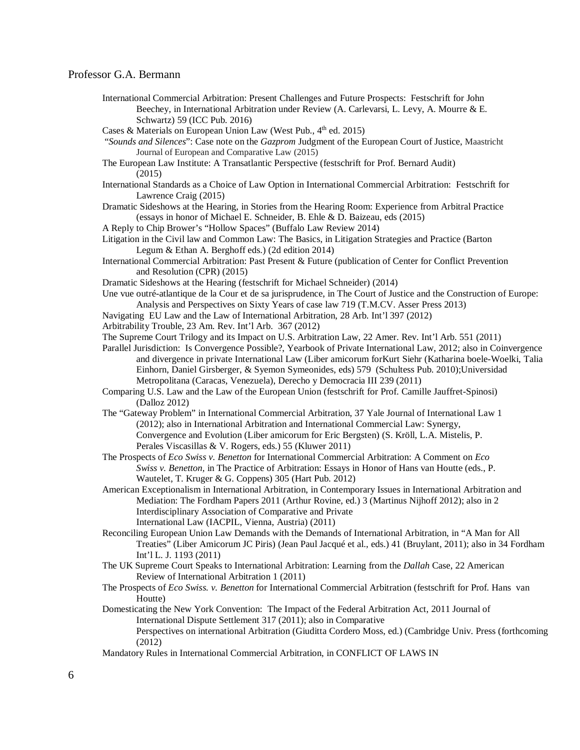- International Commercial Arbitration: Present Challenges and Future Prospects: Festschrift for John Beechey, in International Arbitration under Review (A. Carlevarsi, L. Levy, A. Mourre & E. Schwartz) 59 (ICC Pub. 2016)
- Cases & Materials on European Union Law (West Pub.,  $4<sup>th</sup>$  ed. 2015)
- "*Sounds and Silences*": Case note on the *Gazprom* Judgment of the European Court of Justice, Maastricht Journal of European and Comparative Law (2015)
- The European Law Institute: A Transatlantic Perspective (festschrift for Prof. Bernard Audit) (2015)
- International Standards as a Choice of Law Option in International Commercial Arbitration: Festschrift for Lawrence Craig (2015)
- Dramatic Sideshows at the Hearing, in Stories from the Hearing Room: Experience from Arbitral Practice (essays in honor of Michael E. Schneider, B. Ehle & D. Baizeau, eds (2015)
- A Reply to Chip Brower's "Hollow Spaces" (Buffalo Law Review 2014)
- Litigation in the Civil law and Common Law: The Basics, in Litigation Strategies and Practice (Barton Legum & Ethan A. Berghoff eds.) (2d edition 2014)
- International Commercial Arbitration: Past Present & Future (publication of Center for Conflict Prevention and Resolution (CPR) (2015)
- Dramatic Sideshows at the Hearing (festschrift for Michael Schneider) (2014)
- Une vue outré-atlantique de la Cour et de sa jurisprudence, in The Court of Justice and the Construction of Europe: Analysis and Perspectives on Sixty Years of case law 719 (T.M.CV. Asser Press 2013)
- Navigating EU Law and the Law of International Arbitration, 28 Arb. Int'l 397 (2012)
- Arbitrability Trouble, 23 Am. Rev. Int'l Arb. 367 (2012)
- The Supreme Court Trilogy and its Impact on U.S. Arbitration Law, 22 Amer. Rev. Int'l Arb. 551 (2011)
- Parallel Jurisdiction: Is Convergence Possible?, Yearbook of Private International Law, 2012; also in Coinvergence and divergence in private International Law (Liber amicorum forKurt Siehr (Katharina boele-Woelki, Talia Einhorn, Daniel Girsberger, & Syemon Symeonides, eds) 579 (Schultess Pub. 2010);Universidad Metropolitana (Caracas, Venezuela), Derecho y Democracia III 239 (2011)
- Comparing U.S. Law and the Law of the European Union (festschrift for Prof. Camille Jauffret-Spinosi) (Dalloz 2012)
- The "Gateway Problem" in International Commercial Arbitration, 37 Yale Journal of International Law 1 (2012); also in International Arbitration and International Commercial Law: Synergy, Convergence and Evolution (Liber amicorum for Eric Bergsten) (S. Kröll, L.A. Mistelis, P. Perales Viscasillas & V. Rogers, eds.) 55 (Kluwer 2011)
- The Prospects of *Eco Swiss v. Benetton* for International Commercial Arbitration: A Comment on *Eco Swiss v. Benetton,* in The Practice of Arbitration: Essays in Honor of Hans van Houtte (eds., P. Wautelet, T. Kruger & G. Coppens) 305 (Hart Pub. 2012)
- American Exceptionalism in International Arbitration, in Contemporary Issues in International Arbitration and Mediation: The Fordham Papers 2011 (Arthur Rovine, ed.) 3 (Martinus Nijhoff 2012); also in 2 Interdisciplinary Association of Comparative and Private International Law (IACPIL, Vienna, Austria) (2011)
- Reconciling European Union Law Demands with the Demands of International Arbitration, in "A Man for All Treaties" (Liber Amicorum JC Piris) (Jean Paul Jacqué et al., eds.) 41 (Bruylant, 2011); also in 34 Fordham Int'l L. J. 1193 (2011)
- The UK Supreme Court Speaks to International Arbitration: Learning from the *Dallah* Case, 22 American Review of International Arbitration 1 (2011)
- The Prospects of *Eco Swiss. v. Benetton* for International Commercial Arbitration (festschrift for Prof. Hans van Houtte)
- Domesticating the New York Convention: The Impact of the Federal Arbitration Act, 2011 Journal of International Dispute Settlement 317 (2011); also in Comparative Perspectives on international Arbitration (Giuditta Cordero Moss, ed.) (Cambridge Univ. Press (forthcoming (2012)
- Mandatory Rules in International Commercial Arbitration, in CONFLICT OF LAWS IN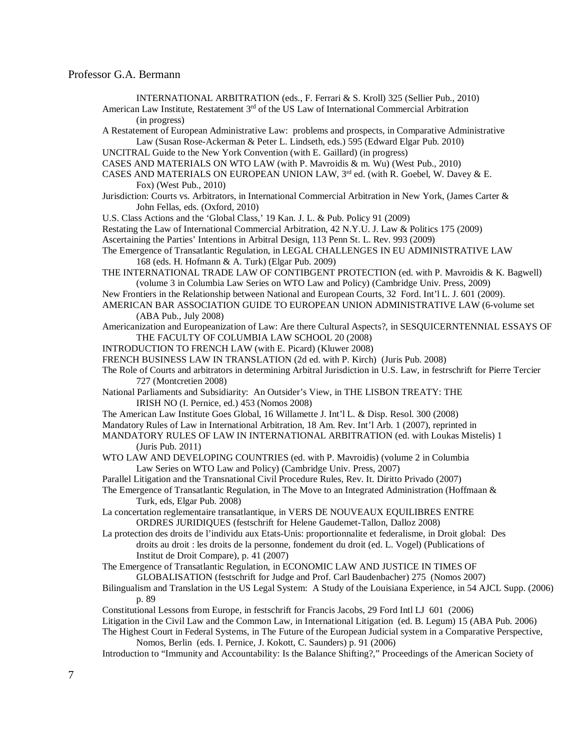INTERNATIONAL ARBITRATION (eds., F. Ferrari & S. Kroll) 325 (Sellier Pub., 2010)

American Law Institute, Restatement 3<sup>rd</sup> of the US Law of International Commercial Arbitration (in progress)

A Restatement of European Administrative Law: problems and prospects, in Comparative Administrative Law (Susan Rose-Ackerman & Peter L. Lindseth, eds.) 595 (Edward Elgar Pub. 2010)

UNCITRAL Guide to the New York Convention (with E. Gaillard) (in progress)

CASES AND MATERIALS ON WTO LAW (with P. Mavroidis & m. Wu) (West Pub., 2010)

CASES AND MATERIALS ON EUROPEAN UNION LAW,  $3<sup>rd</sup>$  ed. (with R. Goebel, W. Davey & E. Fox) (West Pub., 2010)

Jurisdiction: Courts vs. Arbitrators, in International Commercial Arbitration in New York, (James Carter & John Fellas, eds. (Oxford, 2010)

U.S. Class Actions and the 'Global Class,' 19 Kan. J. L. & Pub. Policy 91 (2009)

Restating the Law of International Commercial Arbitration, 42 N.Y.U. J. Law & Politics 175 (2009)

Ascertaining the Parties' Intentions in Arbitral Design, 113 Penn St. L. Rev. 993 (2009)

The Emergence of Transatlantic Regulation, in LEGAL CHALLENGES IN EU ADMINISTRATIVE LAW 168 (eds. H. Hofmann & A. Turk) (Elgar Pub. 2009)

THE INTERNATIONAL TRADE LAW OF CONTIBGENT PROTECTION (ed. with P. Mavroidis & K. Bagwell) (volume 3 in Columbia Law Series on WTO Law and Policy) (Cambridge Univ. Press, 2009)

New Frontiers in the Relationship between National and European Courts, 32 Ford. Int'l L. J. 601 (2009).

AMERICAN BAR ASSOCIATION GUIDE TO EUROPEAN UNION ADMINISTRATIVE LAW (6-volume set (ABA Pub., July 2008)

Americanization and Europeanization of Law: Are there Cultural Aspects?, in SESQUICERNTENNIAL ESSAYS OF THE FACULTY OF COLUMBIA LAW SCHOOL 20 (2008)

INTRODUCTION TO FRENCH LAW (with E. Picard) (Kluwer 2008)

FRENCH BUSINESS LAW IN TRANSLATION (2d ed. with P. Kirch) (Juris Pub. 2008)

The Role of Courts and arbitrators in determining Arbitral Jurisdiction in U.S. Law, in festrschrift for Pierre Tercier 727 (Montcretien 2008)

National Parliaments and Subsidiarity: An Outsider's View, in THE LISBON TREATY: THE IRISH NO (I. Pernice, ed.) 453 (Nomos 2008)

The American Law Institute Goes Global, 16 Willamette J. Int'l L. & Disp. Resol. 300 (2008)

Mandatory Rules of Law in International Arbitration, 18 Am. Rev. Int'l Arb. 1 (2007), reprinted in

MANDATORY RULES OF LAW IN INTERNATIONAL ARBITRATION (ed. with Loukas Mistelis) 1 (Juris Pub. 2011)

WTO LAW AND DEVELOPING COUNTRIES (ed. with P. Mavroidis) (volume 2 in Columbia Law Series on WTO Law and Policy) (Cambridge Univ. Press, 2007)

Parallel Litigation and the Transnational Civil Procedure Rules, Rev. It. Diritto Privado (2007)

The Emergence of Transatlantic Regulation, in The Move to an Integrated Administration (Hoffmaan & Turk, eds, Elgar Pub. 2008)

La concertation reglementaire transatlantique, in VERS DE NOUVEAUX EQUILIBRES ENTRE ORDRES JURIDIQUES (festschrift for Helene Gaudemet-Tallon, Dalloz 2008)

La protection des droits de l'individu aux Etats-Unis: proportionnalite et federalisme, in Droit global: Des droits au droit : les droits de la personne, fondement du droit (ed. L. Vogel) (Publications of Institut de Droit Compare), p. 41 (2007)

The Emergence of Transatlantic Regulation, in ECONOMIC LAW AND JUSTICE IN TIMES OF GLOBALISATION (festschrift for Judge and Prof. Carl Baudenbacher) 275 (Nomos 2007)

Bilingualism and Translation in the US Legal System: A Study of the Louisiana Experience, in 54 AJCL Supp. (2006) p. 89

Constitutional Lessons from Europe, in festschrift for Francis Jacobs, 29 Ford Intl LJ 601 (2006)

Litigation in the Civil Law and the Common Law, in International Litigation (ed. B. Legum) 15 (ABA Pub. 2006) The Highest Court in Federal Systems, in The Future of the European Judicial system in a Comparative Perspective,

Nomos, Berlin (eds. I. Pernice, J. Kokott, C. Saunders) p. 91 (2006)

Introduction to "Immunity and Accountability: Is the Balance Shifting?," Proceedings of the American Society of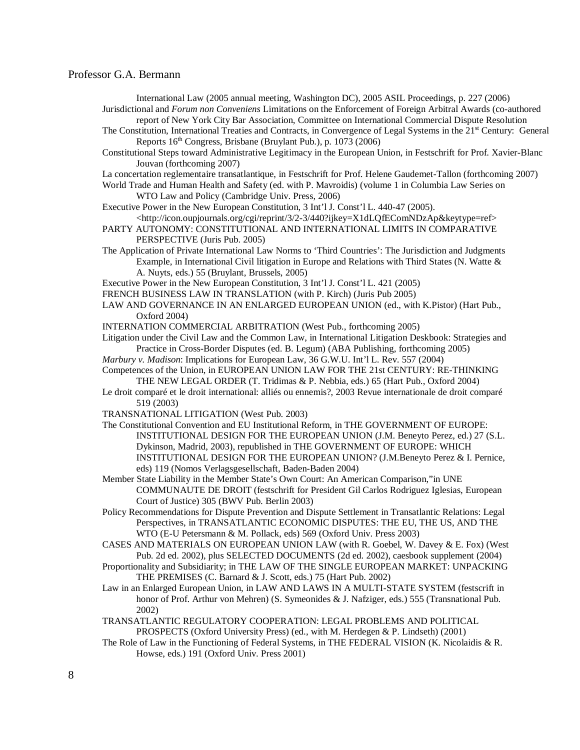International Law (2005 annual meeting, Washington DC), 2005 ASIL Proceedings, p. 227 (2006) Jurisdictional and *Forum non Conveniens* Limitations on the Enforcement of Foreign Arbitral Awards (co-authored report of New York City Bar Association, Committee on International Commercial Dispute Resolution

- The Constitution, International Treaties and Contracts, in Convergence of Legal Systems in the 21<sup>st</sup> Century: General Reports 16th Congress, Brisbane (Bruylant Pub.), p. 1073 (2006)
- Constitutional Steps toward Administrative Legitimacy in the European Union, in Festschrift for Prof. Xavier-Blanc Jouvan (forthcoming 2007)
- La concertation reglementaire transatlantique, in Festschrift for Prof. Helene Gaudemet-Tallon (forthcoming 2007)

World Trade and Human Health and Safety (ed. with P. Mavroidis) (volume 1 in Columbia Law Series on WTO Law and Policy (Cambridge Univ. Press, 2006)

Executive Power in the New European Constitution, 3 Int'l J. Const'l L. 440-47 (2005).

<http://icon.oupjournals.org/cgi/reprint/3/2-3/440?ijkey=X1dLQfEComNDzAp&keytype=ref> PARTY AUTONOMY: CONSTITUTIONAL AND INTERNATIONAL LIMITS IN COMPARATIVE PERSPECTIVE (Juris Pub. 2005)

The Application of Private International Law Norms to 'Third Countries': The Jurisdiction and Judgments Example, in International Civil litigation in Europe and Relations with Third States (N. Watte & A. Nuyts, eds.) 55 (Bruylant, Brussels, 2005)

Executive Power in the New European Constitution, 3 Int'l J. Const'l L. 421 (2005)

FRENCH BUSINESS LAW IN TRANSLATION (with P. Kirch) (Juris Pub 2005)

LAW AND GOVERNANCE IN AN ENLARGED EUROPEAN UNION (ed., with K.Pistor) (Hart Pub., Oxford 2004)

INTERNATION COMMERCIAL ARBITRATION (West Pub., forthcoming 2005)

- Litigation under the Civil Law and the Common Law, in International Litigation Deskbook: Strategies and Practice in Cross-Border Disputes (ed. B. Legum) (ABA Publishing, forthcoming 2005)
- *Marbury v. Madison*: Implications for European Law, 36 G.W.U. Int'l L. Rev. 557 (2004)
- Competences of the Union, in EUROPEAN UNION LAW FOR THE 21st CENTURY: RE-THINKING THE NEW LEGAL ORDER (T. Tridimas & P. Nebbia, eds.) 65 (Hart Pub., Oxford 2004)
- Le droit comparé et le droit international: alliés ou ennemis?, 2003 Revue internationale de droit comparé 519 (2003)
- TRANSNATIONAL LITIGATION (West Pub. 2003)
- The Constitutional Convention and EU Institutional Reform, in THE GOVERNMENT OF EUROPE: INSTITUTIONAL DESIGN FOR THE EUROPEAN UNION (J.M. Beneyto Perez, ed.) 27 (S.L. Dykinson, Madrid, 2003), republished in THE GOVERNMENT OF EUROPE: WHICH INSTITUTIONAL DESIGN FOR THE EUROPEAN UNION? (J.M.Beneyto Perez & I. Pernice, eds) 119 (Nomos Verlagsgesellschaft, Baden-Baden 2004)
- Member State Liability in the Member State's Own Court: An American Comparison,"in UNE COMMUNAUTE DE DROIT (festschrift for President Gil Carlos Rodriguez Iglesias, European Court of Justice) 305 (BWV Pub. Berlin 2003)
- Policy Recommendations for Dispute Prevention and Dispute Settlement in Transatlantic Relations: Legal Perspectives, in TRANSATLANTIC ECONOMIC DISPUTES: THE EU, THE US, AND THE WTO (E-U Petersmann & M. Pollack, eds) 569 (Oxford Univ. Press 2003)
- CASES AND MATERIALS ON EUROPEAN UNION LAW (with R. Goebel, W. Davey & E. Fox) (West Pub. 2d ed. 2002), plus SELECTED DOCUMENTS (2d ed. 2002), caesbook supplement (2004)
- Proportionality and Subsidiarity; in THE LAW OF THE SINGLE EUROPEAN MARKET: UNPACKING THE PREMISES (C. Barnard & J. Scott, eds.) 75 (Hart Pub. 2002)
- Law in an Enlarged European Union, in LAW AND LAWS IN A MULTI-STATE SYSTEM (festscrift in honor of Prof. Arthur von Mehren) (S. Symeonides & J. Nafziger, eds.) 555 (Transnational Pub. 2002)

TRANSATLANTIC REGULATORY COOPERATION: LEGAL PROBLEMS AND POLITICAL PROSPECTS (Oxford University Press) (ed., with M. Herdegen & P. Lindseth) (2001)

The Role of Law in the Functioning of Federal Systems, in THE FEDERAL VISION (K. Nicolaidis & R. Howse, eds.) 191 (Oxford Univ. Press 2001)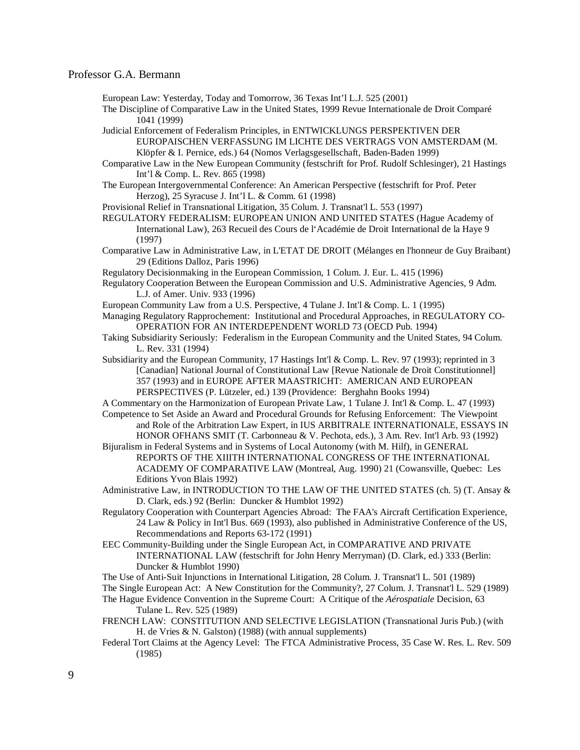European Law: Yesterday, Today and Tomorrow, 36 Texas Int'l L.J. 525 (2001)

The Discipline of Comparative Law in the United States, 1999 Revue Internationale de Droit Comparé 1041 (1999)

Judicial Enforcement of Federalism Principles, in ENTWICKLUNGS PERSPEKTIVEN DER EUROPAISCHEN VERFASSUNG IM LICHTE DES VERTRAGS VON AMSTERDAM (M. Klöpfer & I. Pernice, eds.) 64 (Nomos Verlagsgesellschaft, Baden-Baden 1999)

Comparative Law in the New European Community (festschrift for Prof. Rudolf Schlesinger), 21 Hastings Int'l & Comp. L. Rev. 865 (1998)

The European Intergovernmental Conference: An American Perspective (festschrift for Prof. Peter Herzog), 25 Syracuse J. Int'l L. & Comm. 61 (1998)

Provisional Relief in Transnational Litigation, 35 Colum. J. Transnat'l L. 553 (1997)

REGULATORY FEDERALISM: EUROPEAN UNION AND UNITED STATES (Hague Academy of International Law), 263 Recueil des Cours de l'Académie de Droit International de la Haye 9 (1997)

Comparative Law in Administrative Law, in L'ETAT DE DROIT (Mélanges en l'honneur de Guy Braibant) 29 (Editions Dalloz, Paris 1996)

Regulatory Decisionmaking in the European Commission, 1 Colum. J. Eur. L. 415 (1996)

Regulatory Cooperation Between the European Commission and U.S. Administrative Agencies, 9 Adm. L.J. of Amer. Univ. 933 (1996)

European Community Law from a U.S. Perspective, 4 Tulane J. Int'l & Comp. L. 1 (1995)

Managing Regulatory Rapprochement: Institutional and Procedural Approaches, in REGULATORY CO-OPERATION FOR AN INTERDEPENDENT WORLD 73 (OECD Pub. 1994)

Taking Subsidiarity Seriously: Federalism in the European Community and the United States, 94 Colum. L. Rev. 331 (1994)

Subsidiarity and the European Community, 17 Hastings Int'l & Comp. L. Rev. 97 (1993); reprinted in 3 [Canadian] National Journal of Constitutional Law [Revue Nationale de Droit Constitutionnel] 357 (1993) and in EUROPE AFTER MAASTRICHT: AMERICAN AND EUROPEAN PERSPECTIVES (P. Lützeler, ed.) 139 (Providence: Berghahn Books 1994)

A Commentary on the Harmonization of European Private Law, 1 Tulane J. Int'l & Comp. L. 47 (1993)

Competence to Set Aside an Award and Procedural Grounds for Refusing Enforcement: The Viewpoint and Role of the Arbitration Law Expert, in IUS ARBITRALE INTERNATIONALE, ESSAYS IN HONOR OFHANS SMIT (T. Carbonneau & V. Pechota, eds.), 3 Am. Rev. Int'l Arb. 93 (1992)

Bijuralism in Federal Systems and in Systems of Local Autonomy (with M. Hilf), in GENERAL REPORTS OF THE XIIITH INTERNATIONAL CONGRESS OF THE INTERNATIONAL ACADEMY OF COMPARATIVE LAW (Montreal, Aug. 1990) 21 (Cowansville, Quebec: Les Editions Yvon Blais 1992)

Administrative Law, in INTRODUCTION TO THE LAW OF THE UNITED STATES (ch. 5) (T. Ansay & D. Clark, eds.) 92 (Berlin: Duncker & Humblot 1992)

Regulatory Cooperation with Counterpart Agencies Abroad: The FAA's Aircraft Certification Experience, 24 Law & Policy in Int'l Bus. 669 (1993), also published in Administrative Conference of the US, Recommendations and Reports 63-172 (1991)

EEC Community-Building under the Single European Act, in COMPARATIVE AND PRIVATE INTERNATIONAL LAW (festschrift for John Henry Merryman) (D. Clark, ed.) 333 (Berlin: Duncker & Humblot 1990)

The Use of Anti-Suit Injunctions in International Litigation, 28 Colum. J. Transnat'l L. 501 (1989)

The Single European Act: A New Constitution for the Community?, 27 Colum. J. Transnat'l L. 529 (1989)

The Hague Evidence Convention in the Supreme Court: A Critique of the *Aérospatiale* Decision, 63 Tulane L. Rev. 525 (1989)

FRENCH LAW: CONSTITUTION AND SELECTIVE LEGISLATION (Transnational Juris Pub.) (with H. de Vries & N. Galston) (1988) (with annual supplements)

Federal Tort Claims at the Agency Level: The FTCA Administrative Process, 35 Case W. Res. L. Rev. 509 (1985)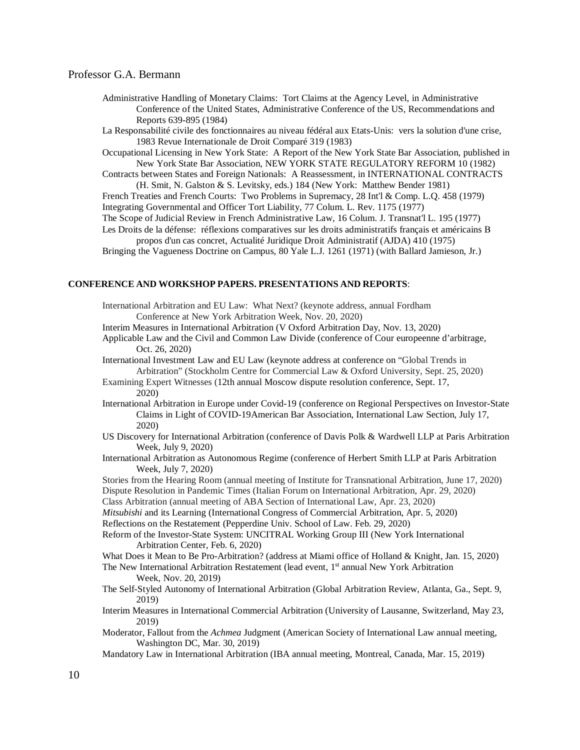- Administrative Handling of Monetary Claims: Tort Claims at the Agency Level, in Administrative Conference of the United States, Administrative Conference of the US, Recommendations and Reports 639-895 (1984)
- La Responsabilité civile des fonctionnaires au niveau fédéral aux Etats-Unis: vers la solution d'une crise, 1983 Revue Internationale de Droit Comparé 319 (1983)

Occupational Licensing in New York State: A Report of the New York State Bar Association, published in New York State Bar Association, NEW YORK STATE REGULATORY REFORM 10 (1982)

Contracts between States and Foreign Nationals: A Reassessment, in INTERNATIONAL CONTRACTS (H. Smit, N. Galston & S. Levitsky, eds.) 184 (New York: Matthew Bender 1981)

French Treaties and French Courts: Two Problems in Supremacy, 28 Int'l & Comp. L.Q. 458 (1979) Integrating Governmental and Officer Tort Liability, 77 Colum. L. Rev. 1175 (1977)

The Scope of Judicial Review in French Administrative Law, 16 Colum. J. Transnat'l L. 195 (1977)

Les Droits de la défense: réflexions comparatives sur les droits administratifs français et américains Β propos d'un cas concret, Actualité Juridique Droit Administratif (AJDA) 410 (1975)

Bringing the Vagueness Doctrine on Campus, 80 Yale L.J. 1261 (1971) (with Ballard Jamieson, Jr.)

#### **CONFERENCE AND WORKSHOP PAPERS. PRESENTATIONS AND REPORTS**:

International Arbitration and EU Law: What Next? (keynote address, annual Fordham Conference at New York Arbitration Week, Nov. 20, 2020)

Interim Measures in International Arbitration (V Oxford Arbitration Day, Nov. 13, 2020)

Applicable Law and the Civil and Common Law Divide (conference of Cour europeenne d'arbitrage, Oct. 26, 2020)

International Investment Law and EU Law (keynote address at conference on "Global Trends in Arbitration" (Stockholm Centre for Commercial Law & Oxford University, Sept. 25, 2020)

Examining Expert Witnesses (12th annual Moscow dispute resolution conference, Sept. 17, 2020)

- International Arbitration in Europe under Covid-19 (conference on Regional Perspectives on Investor-State Claims in Light of COVID-19American Bar Association, International Law Section, July 17, 2020)
- US Discovery for International Arbitration (conference of Davis Polk & Wardwell LLP at Paris Arbitration Week, July 9, 2020)
- International Arbitration as Autonomous Regime (conference of Herbert Smith LLP at Paris Arbitration Week, July 7, 2020)

Stories from the Hearing Room (annual meeting of Institute for Transnational Arbitration, June 17, 2020) Dispute Resolution in Pandemic Times (Italian Forum on International Arbitration, Apr. 29, 2020)

Class Arbitration (annual meeting of ABA Section of International Law, Apr. 23, 2020)

*Mitsubishi* and its Learning (International Congress of Commercial Arbitration, Apr. 5, 2020)

Reflections on the Restatement (Pepperdine Univ. School of Law. Feb. 29, 2020)

Reform of the Investor-State System: UNCITRAL Working Group III (New York International Arbitration Center, Feb. 6, 2020)

What Does it Mean to Be Pro-Arbitration? (address at Miami office of Holland & Knight, Jan. 15, 2020)

The New International Arbitration Restatement (lead event, 1<sup>st</sup> annual New York Arbitration Week, Nov. 20, 2019)

The Self-Styled Autonomy of International Arbitration (Global Arbitration Review, Atlanta, Ga., Sept. 9, 2019)

- Interim Measures in International Commercial Arbitration (University of Lausanne, Switzerland, May 23, 2019)
- Moderator, Fallout from the *Achmea* Judgment (American Society of International Law annual meeting, Washington DC, Mar. 30, 2019)

Mandatory Law in International Arbitration (IBA annual meeting, Montreal, Canada, Mar. 15, 2019)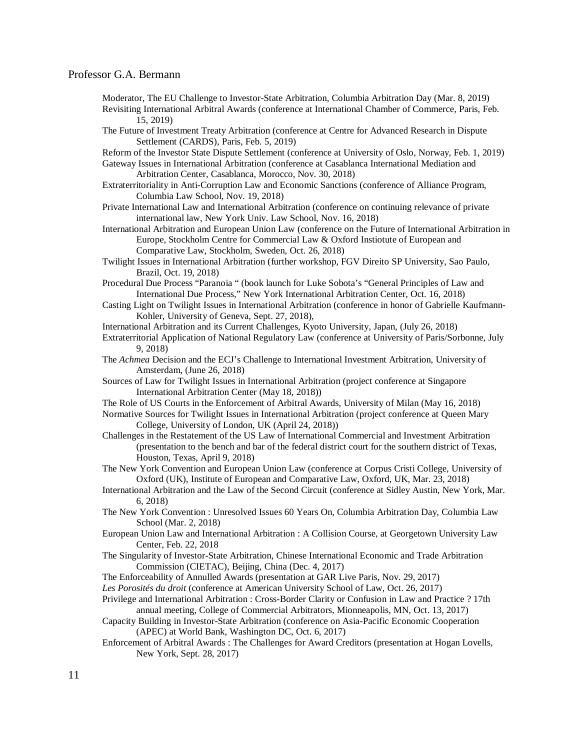- Moderator, The EU Challenge to Investor-State Arbitration, Columbia Arbitration Day (Mar. 8, 2019)
- Revisiting International Arbitral Awards (conference at International Chamber of Commerce, Paris, Feb. 15, 2019)
- The Future of Investment Treaty Arbitration (conference at Centre for Advanced Research in Dispute Settlement (CARDS), Paris, Feb. 5, 2019)

Reform of the Investor State Dispute Settlement (conference at University of Oslo, Norway, Feb. 1, 2019) Gateway Issues in International Arbitration (conference at Casablanca International Mediation and

Arbitration Center, Casablanca, Morocco, Nov. 30, 2018)

- Extraterritoriality in Anti-Corruption Law and Economic Sanctions (conference of Alliance Program, Columbia Law School, Nov. 19, 2018)
- Private International Law and International Arbitration (conference on continuing relevance of private international law, New York Univ. Law School, Nov. 16, 2018)

International Arbitration and European Union Law (conference on the Future of International Arbitration in Europe, Stockholm Centre for Commercial Law & Oxford Instiotute of European and Comparative Law, Stockholm, Sweden, Oct. 26, 2018)

Twilight Issues in International Arbitration (further workshop, FGV Direito SP University, Sao Paulo, Brazil, Oct. 19, 2018)

- Procedural Due Process "Paranoia " (book launch for Luke Sobota's "General Principles of Law and International Due Process," New York International Arbitration Center, Oct. 16, 2018)
- Casting Light on Twilight Issues in International Arbitration (conference in honor of Gabrielle Kaufmann-Kohler, University of Geneva, Sept. 27, 2018),

International Arbitration and its Current Challenges, Kyoto University, Japan, (July 26, 2018)

- Extraterritorial Application of National Regulatory Law (conference at University of Paris/Sorbonne, July 9, 2018)
- The *Achmea* Decision and the ECJ's Challenge to International Investment Arbitration, University of Amsterdam, (June 26, 2018)
- Sources of Law for Twilight Issues in International Arbitration (project conference at Singapore International Arbitration Center (May 18, 2018))
- The Role of US Courts in the Enforcement of Arbitral Awards, University of Milan (May 16, 2018)

Normative Sources for Twilight Issues in International Arbitration (project conference at Queen Mary College, University of London, UK (April 24, 2018))

Challenges in the Restatement of the US Law of International Commercial and Investment Arbitration (presentation to the bench and bar of the federal district court for the southern district of Texas, Houston, Texas, April 9, 2018)

- The New York Convention and European Union Law (conference at Corpus Cristi College, University of Oxford (UK), Institute of European and Comparative Law, Oxford, UK, Mar. 23, 2018)
- International Arbitration and the Law of the Second Circuit (conference at Sidley Austin, New York, Mar. 6, 2018)

The New York Convention : Unresolved Issues 60 Years On, Columbia Arbitration Day, Columbia Law School (Mar. 2, 2018)

- European Union Law and International Arbitration : A Collision Course, at Georgetown University Law Center, Feb. 22, 2018
- The Singularity of Investor-State Arbitration, Chinese International Economic and Trade Arbitration Commission (CIETAC), Beijing, China (Dec. 4, 2017)
- The Enforceability of Annulled Awards (presentation at GAR Live Paris, Nov. 29, 2017)
- *Les Porosités du droit* (conference at American University School of Law, Oct. 26, 2017)
- Privilege and International Arbitration : Cross-Border Clarity or Confusion in Law and Practice ? 17th annual meeting, College of Commercial Arbitrators, Mionneapolis, MN, Oct. 13, 2017)
- Capacity Building in Investor-State Arbitration (conference on Asia-Pacific Economic Cooperation (APEC) at World Bank, Washington DC, Oct. 6, 2017)
- Enforcement of Arbitral Awards : The Challenges for Award Creditors (presentation at Hogan Lovells, New York, Sept. 28, 2017)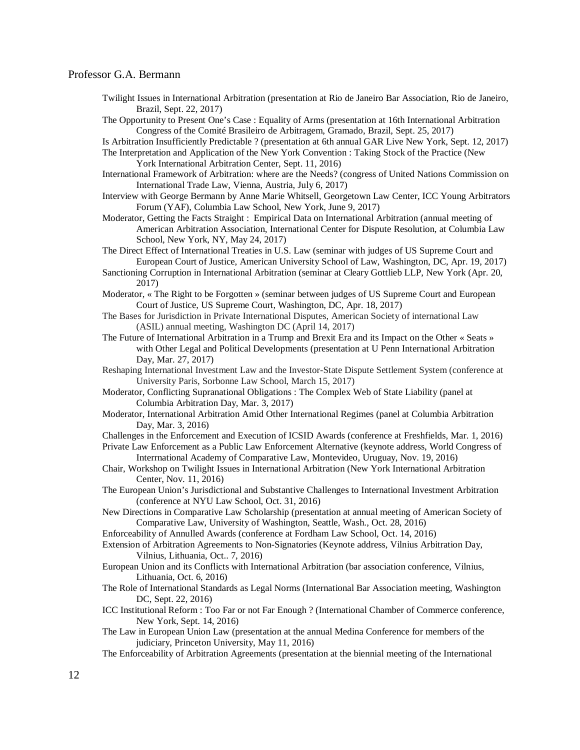- Twilight Issues in International Arbitration (presentation at Rio de Janeiro Bar Association, Rio de Janeiro, Brazil, Sept. 22, 2017)
- The Opportunity to Present One's Case : Equality of Arms (presentation at 16th International Arbitration Congress of the Comité Brasileiro de Arbitragem, Gramado, Brazil, Sept. 25, 2017)

Is Arbitration Insufficiently Predictable ? (presentation at 6th annual GAR Live New York, Sept. 12, 2017) The Interpretation and Application of the New York Convention : Taking Stock of the Practice (New

York International Arbitration Center, Sept. 11, 2016)

- International Framework of Arbitration: where are the Needs? (congress of United Nations Commission on International Trade Law, Vienna, Austria, July 6, 2017)
- Interview with George Bermann by Anne Marie Whitsell, Georgetown Law Center, ICC Young Arbitrators Forum (YAF), Columbia Law School, New York, June 9, 2017)
- Moderator, Getting the Facts Straight : Empirical Data on International Arbitration (annual meeting of American Arbitration Association, International Center for Dispute Resolution, at Columbia Law School, New York, NY, May 24, 2017)
- The Direct Effect of International Treaties in U.S. Law (seminar with judges of US Supreme Court and European Court of Justice, American University School of Law, Washington, DC, Apr. 19, 2017)
- Sanctioning Corruption in International Arbitration (seminar at Cleary Gottlieb LLP, New York (Apr. 20, 2017)
- Moderator, « The Right to be Forgotten » (seminar between judges of US Supreme Court and European Court of Justice, US Supreme Court, Washington, DC, Apr. 18, 2017)
- The Bases for Jurisdiction in Private International Disputes, American Society of international Law (ASIL) annual meeting, Washington DC (April 14, 2017)
- The Future of International Arbitration in a Trump and Brexit Era and its Impact on the Other « Seats » with Other Legal and Political Developments (presentation at U Penn International Arbitration Day, Mar. 27, 2017)
- Reshaping International Investment Law and the Investor-State Dispute Settlement System (conference at University Paris, Sorbonne Law School, March 15, 2017)
- Moderator, Conflicting Supranational Obligations : The Complex Web of State Liability (panel at Columbia Arbitration Day, Mar. 3, 2017)
- Moderator, International Arbitration Amid Other International Regimes (panel at Columbia Arbitration Day, Mar. 3, 2016)
- Challenges in the Enforcement and Execution of ICSID Awards (conference at Freshfields, Mar. 1, 2016)
- Private Law Enforcement as a Public Law Enforcement Alternative (keynote address, World Congress of Interrnational Academy of Comparative Law, Montevideo, Uruguay, Nov. 19, 2016)
- Chair, Workshop on Twilight Issues in International Arbitration (New York International Arbitration Center, Nov. 11, 2016)
- The European Union's Jurisdictional and Substantive Challenges to International Investment Arbitration (conference at NYU Law School, Oct. 31, 2016)
- New Directions in Comparative Law Scholarship (presentation at annual meeting of American Society of Comparative Law, University of Washington, Seattle, Wash., Oct. 28, 2016)
- Enforceability of Annulled Awards (conference at Fordham Law School, Oct. 14, 2016)
- Extension of Arbitration Agreements to Non-Signatories (Keynote address, Vilnius Arbitration Day, Vilnius, Lithuania, Oct.. 7, 2016)
- European Union and its Conflicts with International Arbitration (bar association conference, Vilnius, Lithuania, Oct. 6, 2016)
- The Role of International Standards as Legal Norms (International Bar Association meeting, Washington DC, Sept. 22, 2016)
- ICC Institutional Reform : Too Far or not Far Enough ? (International Chamber of Commerce conference, New York, Sept. 14, 2016)
- The Law in European Union Law (presentation at the annual Medina Conference for members of the judiciary, Princeton University, May 11, 2016)
- The Enforceability of Arbitration Agreements (presentation at the biennial meeting of the International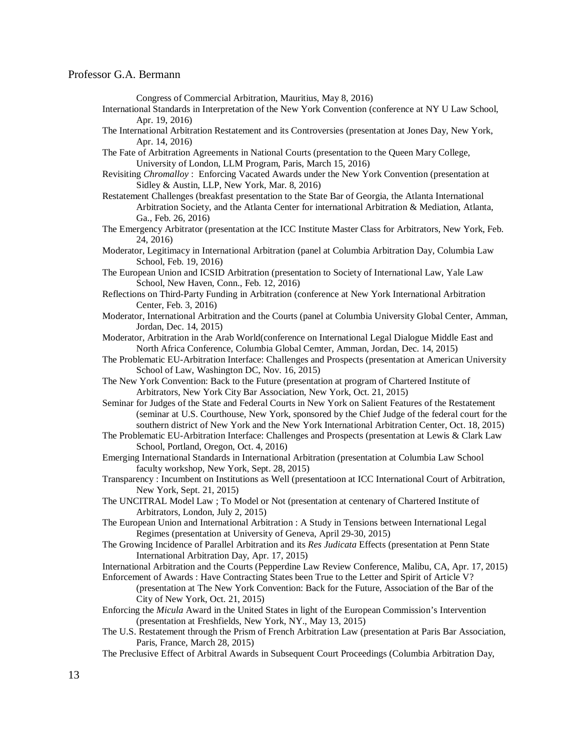Congress of Commercial Arbitration, Mauritius, May 8, 2016)

- International Standards in Interpretation of the New York Convention (conference at NY U Law School, Apr. 19, 2016)
- The International Arbitration Restatement and its Controversies (presentation at Jones Day, New York, Apr. 14, 2016)

The Fate of Arbitration Agreements in National Courts (presentation to the Queen Mary College, University of London, LLM Program, Paris, March 15, 2016)

- Revisiting *Chromalloy* : Enforcing Vacated Awards under the New York Convention (presentation at Sidley & Austin, LLP, New York, Mar. 8, 2016)
- Restatement Challenges (breakfast presentation to the State Bar of Georgia, the Atlanta International Arbitration Society, and the Atlanta Center for international Arbitration & Mediation, Atlanta, Ga., Feb. 26, 2016)
- The Emergency Arbitrator (presentation at the ICC Institute Master Class for Arbitrators, New York, Feb. 24, 2016)
- Moderator, Legitimacy in International Arbitration (panel at Columbia Arbitration Day, Columbia Law School, Feb. 19, 2016)
- The European Union and ICSID Arbitration (presentation to Society of International Law, Yale Law School, New Haven, Conn., Feb. 12, 2016)
- Reflections on Third-Party Funding in Arbitration (conference at New York International Arbitration Center, Feb. 3, 2016)
- Moderator, International Arbitration and the Courts (panel at Columbia University Global Center, Amman, Jordan, Dec. 14, 2015)
- Moderator, Arbitration in the Arab World(conference on International Legal Dialogue Middle East and North Africa Conference, Columbia Global Cemter, Amman, Jordan, Dec. 14, 2015)
- The Problematic EU-Arbitration Interface: Challenges and Prospects (presentation at American University School of Law, Washington DC, Nov. 16, 2015)
- The New York Convention: Back to the Future (presentation at program of Chartered Institute of Arbitrators, New York City Bar Association, New York, Oct. 21, 2015)
- Seminar for Judges of the State and Federal Courts in New York on Salient Features of the Restatement (seminar at U.S. Courthouse, New York, sponsored by the Chief Judge of the federal court for the southern district of New York and the New York International Arbitration Center, Oct. 18, 2015)
- The Problematic EU-Arbitration Interface: Challenges and Prospects (presentation at Lewis & Clark Law School, Portland, Oregon, Oct. 4, 2016)
- Emerging International Standards in International Arbitration (presentation at Columbia Law School faculty workshop, New York, Sept. 28, 2015)

Transparency : Incumbent on Institutions as Well (presentatioon at ICC International Court of Arbitration, New York, Sept. 21, 2015)

- The UNCITRAL Model Law ; To Model or Not (presentation at centenary of Chartered Institute of Arbitrators, London, July 2, 2015)
- The European Union and International Arbitration : A Study in Tensions between International Legal Regimes (presentation at University of Geneva, April 29-30, 2015)
- The Growing Incidence of Parallel Arbitration and its *Res Judicata* Effects (presentation at Penn State International Arbitration Day, Apr. 17, 2015)
- International Arbitration and the Courts (Pepperdine Law Review Conference, Malibu, CA, Apr. 17, 2015) Enforcement of Awards : Have Contracting States been True to the Letter and Spirit of Article V?
	- (presentation at The New York Convention: Back for the Future, Association of the Bar of the City of New York, Oct. 21, 2015)
- Enforcing the *Micula* Award in the United States in light of the European Commission's Intervention (presentation at Freshfields, New York, NY., May 13, 2015)
- The U.S. Restatement through the Prism of French Arbitration Law (presentation at Paris Bar Association, Paris, France, March 28, 2015)
- The Preclusive Effect of Arbitral Awards in Subsequent Court Proceedings (Columbia Arbitration Day,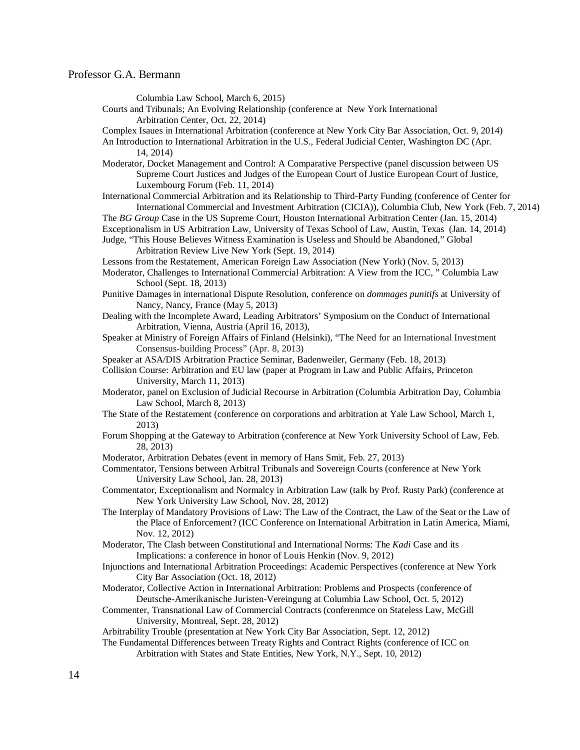Columbia Law School, March 6, 2015)

Courts and Tribunals; An Evolving Relationship (conference at New York International Arbitration Center, Oct. 22, 2014)

Complex Isaues in International Arbitration (conference at New York City Bar Association, Oct. 9, 2014)

- An Introduction to International Arbitration in the U.S., Federal Judicial Center, Washington DC (Apr. 14, 2014)
- Moderator, Docket Management and Control: A Comparative Perspective (panel discussion between US Supreme Court Justices and Judges of the European Court of Justice European Court of Justice, Luxembourg Forum (Feb. 11, 2014)
- International Commercial Arbitration and its Relationship to Third-Party Funding (conference of Center for International Commercial and Investment Arbitration (CICIA)), Columbia Club, New York (Feb. 7, 2014)
- The *BG Group* Case in the US Supreme Court, Houston International Arbitration Center (Jan. 15, 2014)
- Exceptionalism in US Arbitration Law, University of Texas School of Law, Austin, Texas (Jan. 14, 2014)
- Judge, "This House Believes Witness Examination is Useless and Should be Abandoned," Global Arbitration Review Live New York (Sept. 19, 2014)
- Lessons from the Restatement, American Foreign Law Association (New York) (Nov. 5, 2013)
- Moderator, Challenges to International Commercial Arbitration: A View from the ICC, " Columbia Law School (Sept. 18, 2013)
- Punitive Damages in international Dispute Resolution, conference on *dommages punitifs* at University of Nancy, Nancy, France (May 5, 2013)
- Dealing with the Incomplete Award, Leading Arbitrators' Symposium on the Conduct of International Arbitration, Vienna, Austria (April 16, 2013),
- Speaker at Ministry of Foreign Affairs of Finland (Helsinki), "The Need for an International Investment Consensus-building Process" (Apr. 8, 2013)
- Speaker at ASA/DIS Arbitration Practice Seminar, Badenweiler, Germany (Feb. 18, 2013)

Collision Course: Arbitration and EU law (paper at Program in Law and Public Affairs, Princeton University, March 11, 2013)

- Moderator, panel on Exclusion of Judicial Recourse in Arbitration (Columbia Arbitration Day, Columbia Law School, March 8, 2013)
- The State of the Restatement (conference on corporations and arbitration at Yale Law School, March 1, 2013)
- Forum Shopping at the Gateway to Arbitration (conference at New York University School of Law, Feb. 28, 2013)
- Moderator, Arbitration Debates (event in memory of Hans Smit, Feb. 27, 2013)
- Commentator, Tensions between Arbitral Tribunals and Sovereign Courts (conference at New York University Law School, Jan. 28, 2013)
- Commentator, Exceptionalism and Normalcy in Arbitration Law (talk by Prof. Rusty Park) (conference at New York University Law School, Nov. 28, 2012)
- The Interplay of Mandatory Provisions of Law: The Law of the Contract, the Law of the Seat or the Law of the Place of Enforcement? (ICC Conference on International Arbitration in Latin America, Miami, Nov. 12, 2012)
- Moderator, The Clash between Constitutional and International Norms: The *Kadi* Case and its Implications: a conference in honor of Louis Henkin (Nov. 9, 2012)
- Injunctions and International Arbitration Proceedings: Academic Perspectives (conference at New York City Bar Association (Oct. 18, 2012)
- Moderator, Collective Action in International Arbitration: Problems and Prospects (conference of Deutsche-Amerikanische Juristen-Vereingung at Columbia Law School, Oct. 5, 2012)
- Commenter, Transnational Law of Commercial Contracts (conferenmce on Stateless Law, McGill University, Montreal, Sept. 28, 2012)

Arbitrability Trouble (presentation at New York City Bar Association, Sept. 12, 2012)

The Fundamental Differences between Treaty Rights and Contract Rights (conference of ICC on Arbitration with States and State Entities, New York, N.Y., Sept. 10, 2012)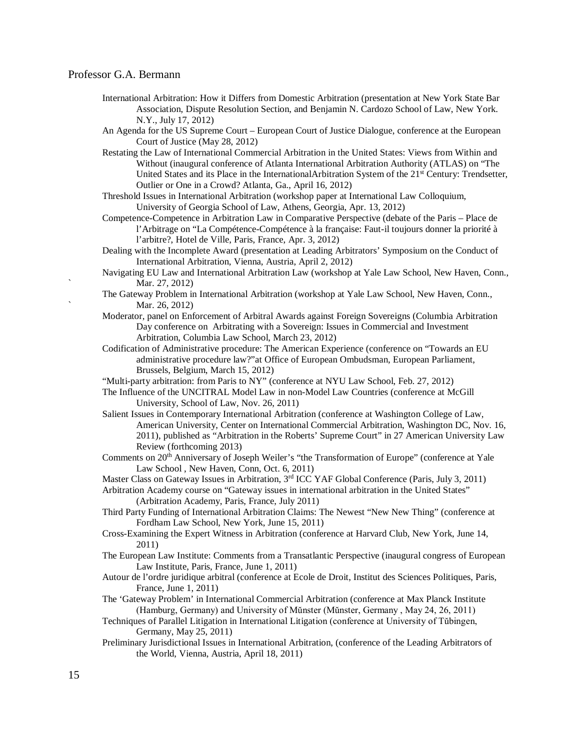- International Arbitration: How it Differs from Domestic Arbitration (presentation at New York State Bar Association, Dispute Resolution Section, and Benjamin N. Cardozo School of Law, New York. N.Y., July 17, 2012)
- An Agenda for the US Supreme Court European Court of Justice Dialogue, conference at the European Court of Justice (May 28, 2012)
- Restating the Law of International Commercial Arbitration in the United States: Views from Within and Without (inaugural conference of Atlanta International Arbitration Authority (ATLAS) on "The United States and its Place in the InternationalArbitration System of the 21<sup>st</sup> Century: Trendsetter, Outlier or One in a Crowd? Atlanta, Ga., April 16, 2012)
- Threshold Issues in International Arbitration (workshop paper at International Law Colloquium, University of Georgia School of Law, Athens, Georgia, Apr. 13, 2012)
- Competence-Competence in Arbitration Law in Comparative Perspective (debate of the Paris Place de l'Arbitrage on "La Compétence-Compétence à la française: Faut-il toujours donner la priorité à l'arbitre?, Hotel de Ville, Paris, France, Apr. 3, 2012)
- Dealing with the Incomplete Award (presentation at Leading Arbitrators' Symposium on the Conduct of International Arbitration, Vienna, Austria, April 2, 2012)
- Navigating EU Law and International Arbitration Law (workshop at Yale Law School, New Haven, Conn., Mar. 27, 2012)
- The Gateway Problem in International Arbitration (workshop at Yale Law School, New Haven, Conn., Mar. 26, 2012)
- Moderator, panel on Enforcement of Arbitral Awards against Foreign Sovereigns (Columbia Arbitration Day conference on Arbitrating with a Sovereign: Issues in Commercial and Investment Arbitration, Columbia Law School, March 23, 2012)
- Codification of Administrative procedure: The American Experience (conference on "Towards an EU administrative procedure law?"at Office of European Ombudsman, European Parliament, Brussels, Belgium, March 15, 2012)
- "Multi-party arbitration: from Paris to NY" (conference at NYU Law School, Feb. 27, 2012)
- The Influence of the UNCITRAL Model Law in non-Model Law Countries (conference at McGill University, School of Law, Nov. 26, 2011)
- Salient Issues in Contemporary International Arbitration (conference at Washington College of Law, American University, Center on International Commercial Arbitration, Washington DC, Nov. 16, 2011), published as "Arbitration in the Roberts' Supreme Court" in 27 American University Law Review (forthcoming 2013)
- Comments on 20<sup>th</sup> Anniversary of Joseph Weiler's "the Transformation of Europe" (conference at Yale Law School , New Haven, Conn, Oct. 6, 2011)
- Master Class on Gateway Issues in Arbitration, 3<sup>rd</sup> ICC YAF Global Conference (Paris, July 3, 2011)

Arbitration Academy course on "Gateway issues in international arbitration in the United States" (Arbitration Academy, Paris, France, July 2011)

- Third Party Funding of International Arbitration Claims: The Newest "New New Thing" (conference at Fordham Law School, New York, June 15, 2011)
- Cross-Examining the Expert Witness in Arbitration (conference at Harvard Club, New York, June 14, 2011)
- The European Law Institute: Comments from a Transatlantic Perspective (inaugural congress of European Law Institute, Paris, France, June 1, 2011)
- Autour de l'ordre juridique arbitral (conference at Ecole de Droit, Institut des Sciences Politiques, Paris, France, June 1, 2011)
- The 'Gateway Problem' in International Commercial Arbitration (conference at Max Planck Institute (Hamburg, Germany) and University of Mŭnster (Mŭnster, Germany , May 24, 26, 2011)
- Techniques of Parallel Litigation in International Litigation (conference at University of Tŭbingen, Germany, May 25, 2011)
- Preliminary Jurisdictional Issues in International Arbitration, (conference of the Leading Arbitrators of the World, Vienna, Austria, April 18, 2011)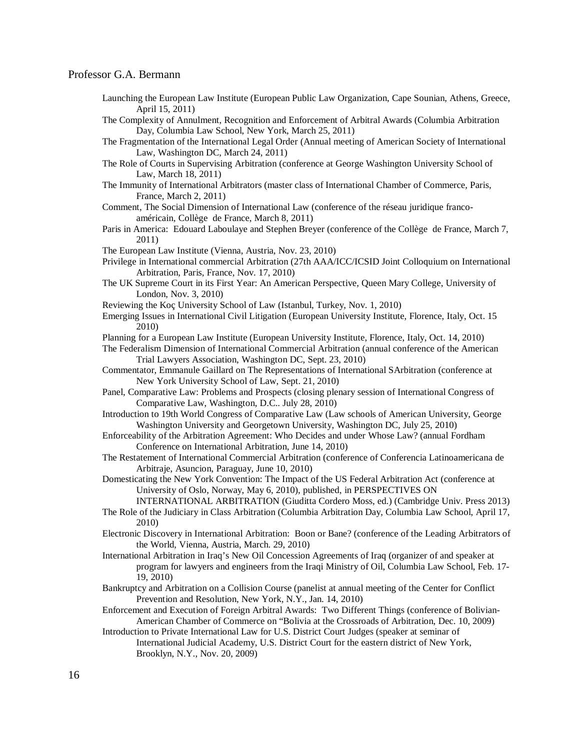Launching the European Law Institute (European Public Law Organization, Cape Sounian, Athens, Greece, April 15, 2011)

The Complexity of Annulment, Recognition and Enforcement of Arbitral Awards (Columbia Arbitration Day, Columbia Law School, New York, March 25, 2011)

The Fragmentation of the International Legal Order (Annual meeting of American Society of International Law, Washington DC, March 24, 2011)

- The Role of Courts in Supervising Arbitration (conference at George Washington University School of Law, March 18, 2011)
- The Immunity of International Arbitrators (master class of International Chamber of Commerce, Paris, France, March 2, 2011)

Comment, The Social Dimension of International Law (conference of the réseau juridique francoaméricain, Collège de France, March 8, 2011)

- Paris in America: Edouard Laboulaye and Stephen Breyer (conference of the Collège de France, March 7, 2011)
- The European Law Institute (Vienna, Austria, Nov. 23, 2010)

Privilege in International commercial Arbitration (27th AAA/ICC/ICSID Joint Colloquium on International Arbitration, Paris, France, Nov. 17, 2010)

- The UK Supreme Court in its First Year: An American Perspective, Queen Mary College, University of London, Nov. 3, 2010)
- Reviewing the Koç University School of Law (Istanbul, Turkey, Nov. 1, 2010)
- Emerging Issues in International Civil Litigation (European University Institute, Florence, Italy, Oct. 15 2010)
- Planning for a European Law Institute (European University Institute, Florence, Italy, Oct. 14, 2010)

The Federalism Dimension of International Commercial Arbitration (annual conference of the American Trial Lawyers Association, Washington DC, Sept. 23, 2010)

Commentator, Emmanule Gaillard on The Representations of International SArbitration (conference at New York University School of Law, Sept. 21, 2010)

- Panel, Comparative Law: Problems and Prospects (closing plenary session of International Congress of Comparative Law, Washington, D.C.. July 28, 2010)
- Introduction to 19th World Congress of Comparative Law (Law schools of American University, George Washington University and Georgetown University, Washington DC, July 25, 2010)
- Enforceability of the Arbitration Agreement: Who Decides and under Whose Law? (annual Fordham Conference on International Arbitration, June 14, 2010)
- The Restatement of International Commercial Arbitration (conference of Conferencia Latinoamericana de Arbitraje, Asuncion, Paraguay, June 10, 2010)
- Domesticating the New York Convention: The Impact of the US Federal Arbitration Act (conference at University of Oslo, Norway, May 6, 2010), published, in PERSPECTIVES ON

INTERNATIONAL ARBITRATION (Giuditta Cordero Moss, ed.) (Cambridge Univ. Press 2013)

- The Role of the Judiciary in Class Arbitration (Columbia Arbitration Day, Columbia Law School, April 17, 2010)
- Electronic Discovery in International Arbitration: Boon or Bane? (conference of the Leading Arbitrators of the World, Vienna, Austria, March. 29, 2010)
- International Arbitration in Iraq's New Oil Concession Agreements of Iraq (organizer of and speaker at program for lawyers and engineers from the Iraqi Ministry of Oil, Columbia Law School, Feb. 17- 19, 2010)
- Bankruptcy and Arbitration on a Collision Course (panelist at annual meeting of the Center for Conflict Prevention and Resolution, New York, N.Y., Jan. 14, 2010)
- Enforcement and Execution of Foreign Arbitral Awards: Two Different Things (conference of Bolivian-American Chamber of Commerce on "Bolivia at the Crossroads of Arbitration, Dec. 10, 2009)
- Introduction to Private International Law for U.S. District Court Judges (speaker at seminar of International Judicial Academy, U.S. District Court for the eastern district of New York, Brooklyn, N.Y., Nov. 20, 2009)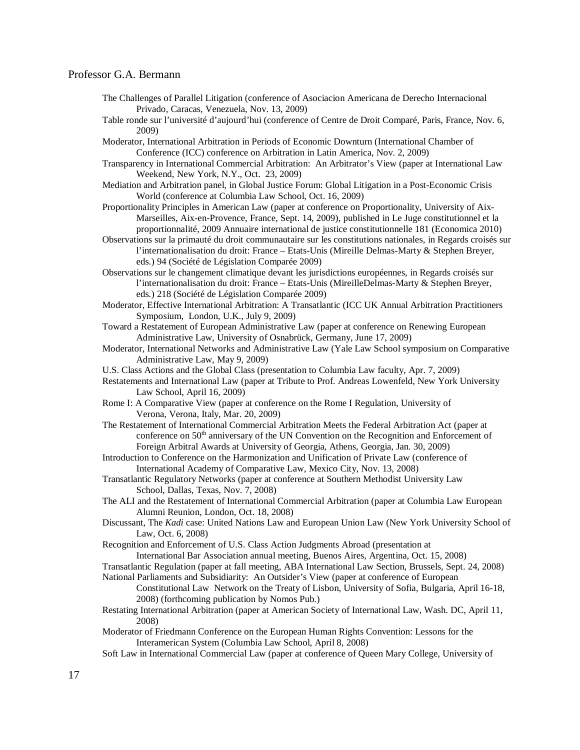- The Challenges of Parallel Litigation (conference of Asociacion Americana de Derecho Internacional Privado, Caracas, Venezuela, Nov. 13, 2009)
- Table ronde sur l'université d'aujourd'hui (conference of Centre de Droit Comparé, Paris, France, Nov. 6, 2009)
- Moderator, International Arbitration in Periods of Economic Downturn (International Chamber of Conference (ICC) conference on Arbitration in Latin America, Nov. 2, 2009)
- Transparency in International Commercial Arbitration: An Arbitrator's View (paper at International Law Weekend, New York, N.Y., Oct. 23, 2009)
- Mediation and Arbitration panel, in Global Justice Forum: Global Litigation in a Post-Economic Crisis World (conference at Columbia Law School, Oct. 16, 2009)
- Proportionality Principles in American Law (paper at conference on Proportionality, University of Aix-Marseilles, Aix-en-Provence, France, Sept. 14, 2009), published in Le Juge constitutionnel et la proportionnalité, 2009 Annuaire international de justice constitutionnelle 181 (Economica 2010)
- Observations sur la primauté du droit communautaire sur les constitutions nationales, in Regards croisés sur l'internationalisation du droit: France – Etats-Unis (Mireille Delmas-Marty & Stephen Breyer, eds.) 94 (Société de Législation Comparée 2009)
- Observations sur le changement climatique devant les jurisdictions européennes, in Regards croisés sur l'internationalisation du droit: France – Etats-Unis (MireilleDelmas-Marty & Stephen Breyer, eds.) 218 (Société de Législation Comparée 2009)
- Moderator, Effective International Arbitration: A Transatlantic (ICC UK Annual Arbitration Practitioners Symposium, London, U.K., July 9, 2009)
- Toward a Restatement of European Administrative Law (paper at conference on Renewing European Administrative Law, University of Osnabrück, Germany, June 17, 2009)
- Moderator, International Networks and Administrative Law (Yale Law School symposium on Comparative Administrative Law, May 9, 2009)
- U.S. Class Actions and the Global Class (presentation to Columbia Law faculty, Apr. 7, 2009)
- Restatements and International Law (paper at Tribute to Prof. Andreas Lowenfeld, New York University Law School, April 16, 2009)
- Rome I: A Comparative View (paper at conference on the Rome I Regulation, University of Verona, Verona, Italy, Mar. 20, 2009)
- The Restatement of International Commercial Arbitration Meets the Federal Arbitration Act (paper at conference on 50<sup>th</sup> anniversary of the UN Convention on the Recognition and Enforcement of Foreign Arbitral Awards at University of Georgia, Athens, Georgia, Jan. 30, 2009)
- Introduction to Conference on the Harmonization and Unification of Private Law (conference of International Academy of Comparative Law, Mexico City, Nov. 13, 2008)
- Transatlantic Regulatory Networks (paper at conference at Southern Methodist University Law School, Dallas, Texas, Nov. 7, 2008)
- The ALI and the Restatement of International Commercial Arbitration (paper at Columbia Law European Alumni Reunion, London, Oct. 18, 2008)
- Discussant, The *Kadi* case: United Nations Law and European Union Law (New York University School of Law, Oct. 6, 2008)
- Recognition and Enforcement of U.S. Class Action Judgments Abroad (presentation at
- International Bar Association annual meeting, Buenos Aires, Argentina, Oct. 15, 2008)
- Transatlantic Regulation (paper at fall meeting, ABA International Law Section, Brussels, Sept. 24, 2008)
- National Parliaments and Subsidiarity: An Outsider's View (paper at conference of European Constitutional Law Network on the Treaty of Lisbon, University of Sofia, Bulgaria, April 16-18,
	- 2008) (forthcoming publication by Nomos Pub.)
- Restating International Arbitration (paper at American Society of International Law, Wash. DC, April 11, 2008)
- Moderator of Friedmann Conference on the European Human Rights Convention: Lessons for the Interamerican System (Columbia Law School, April 8, 2008)
- Soft Law in International Commercial Law (paper at conference of Queen Mary College, University of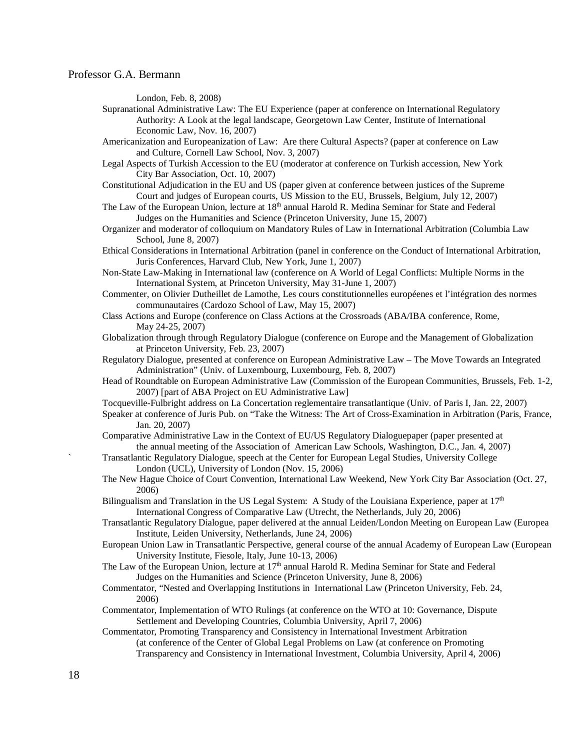London, Feb. 8, 2008)

- Supranational Administrative Law: The EU Experience (paper at conference on International Regulatory Authority: A Look at the legal landscape, Georgetown Law Center, Institute of International Economic Law, Nov. 16, 2007)
- Americanization and Europeanization of Law: Are there Cultural Aspects? (paper at conference on Law and Culture, Cornell Law School, Nov. 3, 2007)
- Legal Aspects of Turkish Accession to the EU (moderator at conference on Turkish accession, New York City Bar Association, Oct. 10, 2007)
- Constitutional Adjudication in the EU and US (paper given at conference between justices of the Supreme Court and judges of European courts, US Mission to the EU, Brussels, Belgium, July 12, 2007)
- The Law of the European Union, lecture at  $18<sup>th</sup>$  annual Harold R. Medina Seminar for State and Federal Judges on the Humanities and Science (Princeton University, June 15, 2007)
- Organizer and moderator of colloquium on Mandatory Rules of Law in International Arbitration (Columbia Law School, June 8, 2007)
- Ethical Considerations in International Arbitration (panel in conference on the Conduct of International Arbitration, Juris Conferences, Harvard Club, New York, June 1, 2007)
- Non-State Law-Making in International law (conference on A World of Legal Conflicts: Multiple Norms in the International System, at Princeton University, May 31-June 1, 2007)
- Commenter, on Olivier Dutheillet de Lamothe, Les cours constitutionnelles européenes et l'intégration des normes communautaires (Cardozo School of Law, May 15, 2007)
- Class Actions and Europe (conference on Class Actions at the Crossroads (ABA/IBA conference, Rome, May 24-25, 2007)
- Globalization through through Regulatory Dialogue (conference on Europe and the Management of Globalization at Princeton University, Feb. 23, 2007)
- Regulatory Dialogue, presented at conference on European Administrative Law The Move Towards an Integrated Administration" (Univ. of Luxembourg, Luxembourg, Feb. 8, 2007)
- Head of Roundtable on European Administrative Law (Commission of the European Communities, Brussels, Feb. 1-2, 2007) [part of ABA Project on EU Administrative Law]
- Tocqueville-Fulbright address on La Concertation reglementaire transatlantique (Univ. of Paris I, Jan. 22, 2007)
- Speaker at conference of Juris Pub. on "Take the Witness: The Art of Cross-Examination in Arbitration (Paris, France, Jan. 20, 2007)
- Comparative Administrative Law in the Context of EU/US Regulatory Dialoguepaper (paper presented at the annual meeting of the Association of American Law Schools, Washington, D.C., Jan. 4, 2007)
- ` Transatlantic Regulatory Dialogue, speech at the Center for European Legal Studies, University College London (UCL), University of London (Nov. 15, 2006)
- The New Hague Choice of Court Convention, International Law Weekend, New York City Bar Association (Oct. 27, 2006)
- Bilingualism and Translation in the US Legal System: A Study of the Louisiana Experience, paper at  $17<sup>th</sup>$ International Congress of Comparative Law (Utrecht, the Netherlands, July 20, 2006)

Transatlantic Regulatory Dialogue, paper delivered at the annual Leiden/London Meeting on European Law (Europea Institute, Leiden University, Netherlands, June 24, 2006)

- European Union Law in Transatlantic Perspective, general course of the annual Academy of European Law (European University Institute, Fiesole, Italy, June 10-13, 2006)
- The Law of the European Union, lecture at 17<sup>th</sup> annual Harold R. Medina Seminar for State and Federal Judges on the Humanities and Science (Princeton University, June 8, 2006)
- Commentator, "Nested and Overlapping Institutions in International Law (Princeton University, Feb. 24, 2006)
- Commentator, Implementation of WTO Rulings (at conference on the WTO at 10: Governance, Dispute Settlement and Developing Countries, Columbia University, April 7, 2006)

Commentator, Promoting Transparency and Consistency in International Investment Arbitration (at conference of the Center of Global Legal Problems on Law (at conference on Promoting Transparency and Consistency in International Investment, Columbia University, April 4, 2006)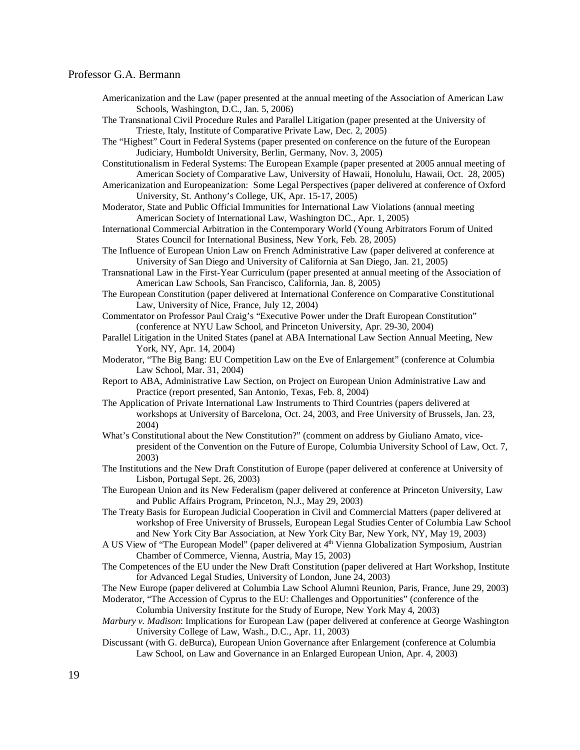Americanization and the Law (paper presented at the annual meeting of the Association of American Law Schools, Washington, D.C., Jan. 5, 2006)

The Transnational Civil Procedure Rules and Parallel Litigation (paper presented at the University of Trieste, Italy, Institute of Comparative Private Law, Dec. 2, 2005)

- The "Highest" Court in Federal Systems (paper presented on conference on the future of the European Judiciary, Humboldt University, Berlin, Germany, Nov. 3, 2005)
- Constitutionalism in Federal Systems: The European Example (paper presented at 2005 annual meeting of American Society of Comparative Law, University of Hawaii, Honolulu, Hawaii, Oct. 28, 2005)
- Americanization and Europeanization: Some Legal Perspectives (paper delivered at conference of Oxford University, St. Anthony's College, UK, Apr. 15-17, 2005)
- Moderator, State and Public Official Immunities for International Law Violations (annual meeting American Society of International Law, Washington DC., Apr. 1, 2005)
- International Commercial Arbitration in the Contemporary World (Young Arbitrators Forum of United States Council for International Business, New York, Feb. 28, 2005)
- The Influence of European Union Law on French Administrative Law (paper delivered at conference at University of San Diego and University of California at San Diego, Jan. 21, 2005)
- Transnational Law in the First-Year Curriculum (paper presented at annual meeting of the Association of American Law Schools, San Francisco, California, Jan. 8, 2005)
- The European Constitution (paper delivered at International Conference on Comparative Constitutional Law, University of Nice, France, July 12, 2004)
- Commentator on Professor Paul Craig's "Executive Power under the Draft European Constitution" (conference at NYU Law School, and Princeton University, Apr. 29-30, 2004)
- Parallel Litigation in the United States (panel at ABA International Law Section Annual Meeting, New York, NY, Apr. 14, 2004)
- Moderator, "The Big Bang: EU Competition Law on the Eve of Enlargement" (conference at Columbia Law School, Mar. 31, 2004)
- Report to ABA, Administrative Law Section, on Project on European Union Administrative Law and Practice (report presented, San Antonio, Texas, Feb. 8, 2004)
- The Application of Private International Law Instruments to Third Countries (papers delivered at workshops at University of Barcelona, Oct. 24, 2003, and Free University of Brussels, Jan. 23, 2004)
- What's Constitutional about the New Constitution?" (comment on address by Giuliano Amato, vicepresident of the Convention on the Future of Europe, Columbia University School of Law, Oct. 7, 2003)
- The Institutions and the New Draft Constitution of Europe (paper delivered at conference at University of Lisbon, Portugal Sept. 26, 2003)
- The European Union and its New Federalism (paper delivered at conference at Princeton University, Law and Public Affairs Program, Princeton, N.J., May 29, 2003)
- The Treaty Basis for European Judicial Cooperation in Civil and Commercial Matters (paper delivered at workshop of Free University of Brussels, European Legal Studies Center of Columbia Law School and New York City Bar Association, at New York City Bar, New York, NY, May 19, 2003)
- A US View of "The European Model" (paper delivered at 4<sup>th</sup> Vienna Globalization Symposium, Austrian Chamber of Commerce, Vienna, Austria, May 15, 2003)
- The Competences of the EU under the New Draft Constitution (paper delivered at Hart Workshop, Institute for Advanced Legal Studies, University of London, June 24, 2003)
- The New Europe (paper delivered at Columbia Law School Alumni Reunion, Paris, France, June 29, 2003)
- Moderator*,* "The Accession of Cyprus to the EU: Challenges and Opportunities" (conference of the Columbia University Institute for the Study of Europe, New York May 4, 2003)
- *Marbury v. Madison*: Implications for European Law (paper delivered at conference at George Washington University College of Law, Wash., D.C., Apr. 11, 2003)
- Discussant (with G. deBurca), European Union Governance after Enlargement (conference at Columbia Law School, on Law and Governance in an Enlarged European Union, Apr. 4, 2003)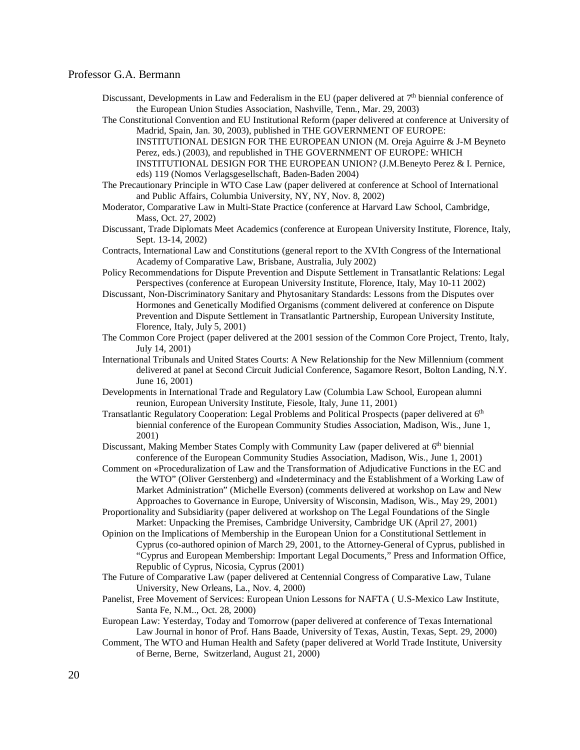- Discussant, Developments in Law and Federalism in the EU (paper delivered at 7<sup>th</sup> biennial conference of the European Union Studies Association, Nashville, Tenn., Mar. 29, 2003)
- The Constitutional Convention and EU Institutional Reform (paper delivered at conference at University of Madrid, Spain, Jan. 30, 2003), published in THE GOVERNMENT OF EUROPE:

INSTITUTIONAL DESIGN FOR THE EUROPEAN UNION (M. Oreja Aguirre & J-M Beyneto Perez, eds.) (2003), and republished in THE GOVERNMENT OF EUROPE: WHICH

INSTITUTIONAL DESIGN FOR THE EUROPEAN UNION? (J.M.Beneyto Perez & I. Pernice, eds) 119 (Nomos Verlagsgesellschaft, Baden-Baden 2004)

- The Precautionary Principle in WTO Case Law (paper delivered at conference at School of International and Public Affairs, Columbia University, NY, NY, Nov. 8, 2002)
- Moderator, Comparative Law in Multi-State Practice (conference at Harvard Law School, Cambridge, Mass, Oct. 27, 2002)
- Discussant, Trade Diplomats Meet Academics (conference at European University Institute, Florence, Italy, Sept. 13-14, 2002)
- Contracts, International Law and Constitutions (general report to the XVIth Congress of the International Academy of Comparative Law, Brisbane, Australia, July 2002)
- Policy Recommendations for Dispute Prevention and Dispute Settlement in Transatlantic Relations: Legal Perspectives (conference at European University Institute, Florence, Italy, May 10-11 2002)
- Discussant, Non-Discriminatory Sanitary and Phytosanitary Standards: Lessons from the Disputes over Hormones and Genetically Modified Organisms (comment delivered at conference on Dispute Prevention and Dispute Settlement in Transatlantic Partnership, European University Institute, Florence, Italy, July 5, 2001)
- The Common Core Project (paper delivered at the 2001 session of the Common Core Project, Trento, Italy, July 14, 2001)
- International Tribunals and United States Courts: A New Relationship for the New Millennium (comment delivered at panel at Second Circuit Judicial Conference, Sagamore Resort, Bolton Landing, N.Y. June 16, 2001)
- Developments in International Trade and Regulatory Law (Columbia Law School, European alumni reunion, European University Institute, Fiesole, Italy, June 11, 2001)
- Transatlantic Regulatory Cooperation: Legal Problems and Political Prospects (paper delivered at 6<sup>th</sup> biennial conference of the European Community Studies Association, Madison, Wis., June 1, 2001)
- Discussant, Making Member States Comply with Community Law (paper delivered at  $6<sup>th</sup>$  biennial conference of the European Community Studies Association, Madison, Wis., June 1, 2001)
- Comment on «Proceduralization of Law and the Transformation of Adjudicative Functions in the EC and the WTO" (Oliver Gerstenberg) and «Indeterminacy and the Establishment of a Working Law of Market Administration" (Michelle Everson) (comments delivered at workshop on Law and New Approaches to Governance in Europe, University of Wisconsin, Madison, Wis., May 29, 2001)
- Proportionality and Subsidiarity (paper delivered at workshop on The Legal Foundations of the Single Market: Unpacking the Premises, Cambridge University, Cambridge UK (April 27, 2001)
- Opinion on the Implications of Membership in the European Union for a Constitutional Settlement in Cyprus (co-authored opinion of March 29, 2001, to the Attorney-General of Cyprus, published in "Cyprus and European Membership: Important Legal Documents," Press and Information Office, Republic of Cyprus, Nicosia, Cyprus (2001)
- The Future of Comparative Law (paper delivered at Centennial Congress of Comparative Law, Tulane University, New Orleans, La., Nov. 4, 2000)
- Panelist, Free Movement of Services: European Union Lessons for NAFTA ( U.S-Mexico Law Institute, Santa Fe, N.M.., Oct. 28, 2000)
- European Law: Yesterday, Today and Tomorrow (paper delivered at conference of Texas International Law Journal in honor of Prof. Hans Baade, University of Texas, Austin, Texas, Sept. 29, 2000)
- Comment, The WTO and Human Health and Safety (paper delivered at World Trade Institute, University of Berne, Berne, Switzerland, August 21, 2000)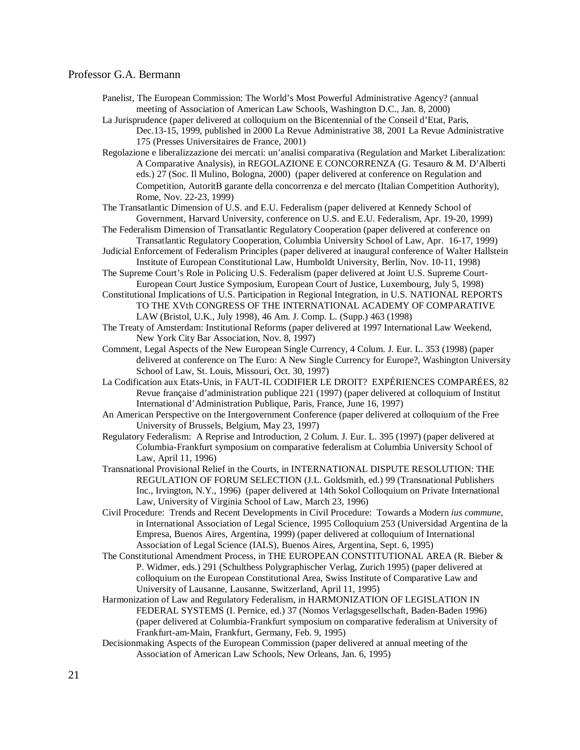- Panelist, The European Commission: The World's Most Powerful Administrative Agency? (annual meeting of Association of American Law Schools, Washington D.C., Jan. 8, 2000)
- La Jurisprudence (paper delivered at colloquium on the Bicentennial of the Conseil d'Etat, Paris, Dec.13-15, 1999, published in 2000 La Revue Administrative 38, 2001 La Revue Administrative 175 (Presses Universitaires de France, 2001)
- Regolazione e liberalizzazione dei mercati: un'analisi comparativa (Regulation and Market Liberalization: A Comparative Analysis), in REGOLAZIONE E CONCORRENZA (G. Tesauro & M. D'Alberti eds.) 27 (Soc. Il Mulino, Bologna, 2000) (paper delivered at conference on Regulation and Competition, AutoritΒ garante della concorrenza e del mercato (Italian Competition Authority), Rome, Nov. 22-23, 1999)
- The Transatlantic Dimension of U.S. and E.U. Federalism (paper delivered at Kennedy School of Government, Harvard University, conference on U.S. and E.U. Federalism, Apr. 19-20, 1999)
- The Federalism Dimension of Transatlantic Regulatory Cooperation (paper delivered at conference on Transatlantic Regulatory Cooperation, Columbia University School of Law, Apr. 16-17, 1999)
- Judicial Enforcement of Federalism Principles (paper delivered at inaugural conference of Walter Hallstein Institute of European Constitutional Law, Humboldt University, Berlin, Nov. 10-11, 1998)
- The Supreme Court's Role in Policing U.S. Federalism (paper delivered at Joint U.S. Supreme Court-European Court Justice Symposium, European Court of Justice, Luxembourg, July 5, 1998)
- Constitutional Implications of U.S. Participation in Regional Integration, in U.S. NATIONAL REPORTS TO THE XVth CONGRESS OF THE INTERNATIONAL ACADEMY OF COMPARATIVE LAW (Bristol, U.K., July 1998), 46 Am. J. Comp. L. (Supp.) 463 (1998)
- The Treaty of Amsterdam: Institutional Reforms (paper delivered at 1997 International Law Weekend, New York City Bar Association, Nov. 8, 1997)
- Comment, Legal Aspects of the New European Single Currency, 4 Colum. J. Eur. L. 353 (1998) (paper delivered at conference on The Euro: A New Single Currency for Europe?, Washington University School of Law, St. Louis, Missouri, Oct. 30, 1997)
- La Codification aux Etats-Unis, in FAUT-IL CODIFIER LE DROIT? EXPÉRIENCES COMPARÉES, 82 Revue française d'administration publique 221 (1997) (paper delivered at colloquium of Institut International d'Administration Publique, Paris, France, June 16, 1997)
- An American Perspective on the Intergovernment Conference (paper delivered at colloquium of the Free University of Brussels, Belgium, May 23, 1997)
- Regulatory Federalism: A Reprise and Introduction, 2 Colum. J. Eur. L. 395 (1997) (paper delivered at Columbia-Frankfurt symposium on comparative federalism at Columbia University School of Law, April 11, 1996)
- Transnational Provisional Relief in the Courts, in INTERNATIONAL DISPUTE RESOLUTION: THE REGULATION OF FORUM SELECTION (J.L. Goldsmith, ed.) 99 (Transnational Publishers Inc., Irvington, N.Y., 1996) (paper delivered at 14th Sokol Colloquium on Private International Law, University of Virginia School of Law, March 23, 1996)
- Civil Procedure: Trends and Recent Developments in Civil Procedure: Towards a Modern *ius commune,*  in International Association of Legal Science, 1995 Colloquium 253 (Universidad Argentina de la Empresa, Buenos Aires, Argentina, 1999) (paper delivered at colloquium of International Association of Legal Science (IALS), Buenos Aires, Argentina, Sept. 6, 1995)
- The Constitutional Amendment Process, in THE EUROPEAN CONSTITUTIONAL AREA (R. Bieber & P. Widmer, eds.) 291 (Schulthess Polygraphischer Verlag, Zurich 1995) (paper delivered at colloquium on the European Constitutional Area, Swiss Institute of Comparative Law and University of Lausanne, Lausanne, Switzerland, April 11, 1995)
- Harmonization of Law and Regulatory Federalism, in HARMONIZATION OF LEGISLATION IN FEDERAL SYSTEMS (I. Pernice, ed.) 37 (Nomos Verlagsgesellschaft, Baden-Baden 1996) (paper delivered at Columbia-Frankfurt symposium on comparative federalism at University of Frankfurt-am-Main, Frankfurt, Germany, Feb. 9, 1995)
- Decisionmaking Aspects of the European Commission (paper delivered at annual meeting of the Association of American Law Schools, New Orleans, Jan. 6, 1995)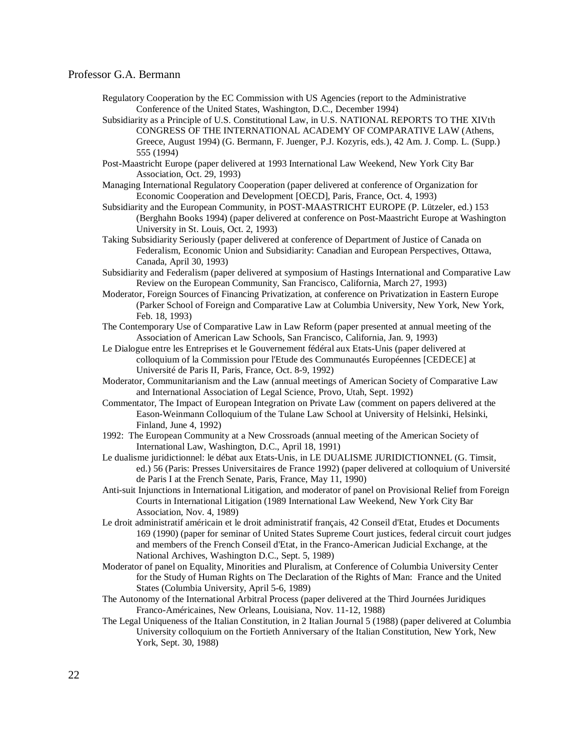- Regulatory Cooperation by the EC Commission with US Agencies (report to the Administrative Conference of the United States, Washington, D.C., December 1994)
- Subsidiarity as a Principle of U.S. Constitutional Law, in U.S. NATIONAL REPORTS TO THE XIVth CONGRESS OF THE INTERNATIONAL ACADEMY OF COMPARATIVE LAW (Athens, Greece, August 1994) (G. Bermann, F. Juenger, P.J. Kozyris, eds.), 42 Am. J. Comp. L. (Supp.) 555 (1994)
- Post-Maastricht Europe (paper delivered at 1993 International Law Weekend, New York City Bar Association, Oct. 29, 1993)
- Managing International Regulatory Cooperation (paper delivered at conference of Organization for Economic Cooperation and Development [OECD], Paris, France, Oct. 4, 1993)
- Subsidiarity and the European Community, in POST-MAASTRICHT EUROPE (P. Lützeler, ed.) 153 (Berghahn Books 1994) (paper delivered at conference on Post-Maastricht Europe at Washington University in St. Louis, Oct. 2, 1993)
- Taking Subsidiarity Seriously (paper delivered at conference of Department of Justice of Canada on Federalism, Economic Union and Subsidiarity: Canadian and European Perspectives, Ottawa, Canada, April 30, 1993)
- Subsidiarity and Federalism (paper delivered at symposium of Hastings International and Comparative Law Review on the European Community, San Francisco, California, March 27, 1993)
- Moderator, Foreign Sources of Financing Privatization, at conference on Privatization in Eastern Europe (Parker School of Foreign and Comparative Law at Columbia University, New York, New York, Feb. 18, 1993)
- The Contemporary Use of Comparative Law in Law Reform (paper presented at annual meeting of the Association of American Law Schools, San Francisco, California, Jan. 9, 1993)
- Le Dialogue entre les Entreprises et le Gouvernement fédéral aux Etats-Unis (paper delivered at colloquium of la Commission pour l'Etude des Communautés Européennes [CEDECE] at Université de Paris II, Paris, France, Oct. 8-9, 1992)
- Moderator, Communitarianism and the Law (annual meetings of American Society of Comparative Law and International Association of Legal Science, Provo, Utah, Sept. 1992)
- Commentator, The Impact of European Integration on Private Law (comment on papers delivered at the Eason-Weinmann Colloquium of the Tulane Law School at University of Helsinki, Helsinki, Finland, June 4, 1992)
- 1992: The European Community at a New Crossroads (annual meeting of the American Society of International Law, Washington, D.C., April 18, 1991)
- Le dualisme juridictionnel: le débat aux Etats-Unis, in LE DUALISME JURIDICTIONNEL (G. Timsit, ed.) 56 (Paris: Presses Universitaires de France 1992) (paper delivered at colloquium of Université de Paris I at the French Senate, Paris, France, May 11, 1990)
- Anti-suit Injunctions in International Litigation, and moderator of panel on Provisional Relief from Foreign Courts in International Litigation (1989 International Law Weekend, New York City Bar Association, Nov. 4, 1989)
- Le droit administratif américain et le droit administratif français, 42 Conseil d'Etat, Etudes et Documents 169 (1990) (paper for seminar of United States Supreme Court justices, federal circuit court judges and members of the French Conseil d'Etat, in the Franco-American Judicial Exchange, at the National Archives, Washington D.C., Sept. 5, 1989)
- Moderator of panel on Equality, Minorities and Pluralism, at Conference of Columbia University Center for the Study of Human Rights on The Declaration of the Rights of Man: France and the United States (Columbia University, April 5-6, 1989)
- The Autonomy of the International Arbitral Process (paper delivered at the Third Journées Juridiques Franco-Américaines, New Orleans, Louisiana, Nov. 11-12, 1988)
- The Legal Uniqueness of the Italian Constitution, in 2 Italian Journal 5 (1988) (paper delivered at Columbia University colloquium on the Fortieth Anniversary of the Italian Constitution, New York, New York, Sept. 30, 1988)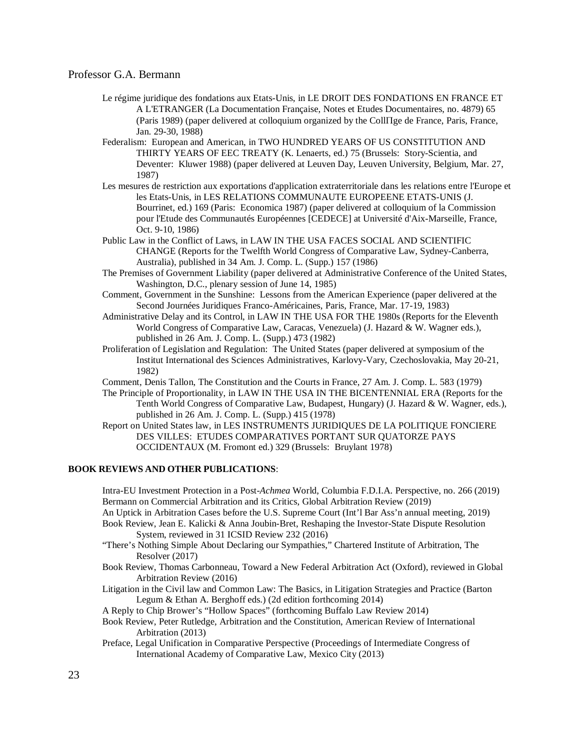- Le régime juridique des fondations aux Etats-Unis, in LE DROIT DES FONDATIONS EN FRANCE ET A L'ETRANGER (La Documentation Française, Notes et Etudes Documentaires, no. 4879) 65 (Paris 1989) (paper delivered at colloquium organized by the CollΠge de France, Paris, France, Jan. 29-30, 1988)
- Federalism: European and American, in TWO HUNDRED YEARS OF US CONSTITUTION AND THIRTY YEARS OF EEC TREATY (K. Lenaerts, ed.) 75 (Brussels: Story-Scientia, and Deventer: Kluwer 1988) (paper delivered at Leuven Day, Leuven University, Belgium, Mar. 27, 1987)
- Les mesures de restriction aux exportations d'application extraterritoriale dans les relations entre l'Europe et les Etats-Unis, in LES RELATIONS COMMUNAUTE EUROPEENE ETATS-UNIS (J. Bourrinet, ed.) 169 (Paris: Economica 1987) (paper delivered at colloquium of la Commission pour l'Etude des Communautés Européennes [CEDECE] at Université d'Aix-Marseille, France, Oct. 9-10, 1986)
- Public Law in the Conflict of Laws, in LAW IN THE USA FACES SOCIAL AND SCIENTIFIC CHANGE (Reports for the Twelfth World Congress of Comparative Law, Sydney-Canberra, Australia), published in 34 Am. J. Comp. L. (Supp.) 157 (1986)
- The Premises of Government Liability (paper delivered at Administrative Conference of the United States, Washington, D.C., plenary session of June 14, 1985)
- Comment, Government in the Sunshine: Lessons from the American Experience (paper delivered at the Second Journées Juridiques Franco-Américaines, Paris, France, Mar. 17-19, 1983)
- Administrative Delay and its Control, in LAW IN THE USA FOR THE 1980s (Reports for the Eleventh World Congress of Comparative Law, Caracas, Venezuela) (J. Hazard & W. Wagner eds.), published in 26 Am. J. Comp. L. (Supp.) 473 (1982)
- Proliferation of Legislation and Regulation: The United States (paper delivered at symposium of the Institut International des Sciences Administratives, Karlovy-Vary, Czechoslovakia, May 20-21, 1982)
- Comment, Denis Tallon, The Constitution and the Courts in France, 27 Am. J. Comp. L. 583 (1979)
- The Principle of Proportionality, in LAW IN THE USA IN THE BICENTENNIAL ERA (Reports for the Tenth World Congress of Comparative Law, Budapest, Hungary) (J. Hazard & W. Wagner, eds.), published in 26 Am. J. Comp. L. (Supp.) 415 (1978)
- Report on United States law, in LES INSTRUMENTS JURIDIQUES DE LA POLITIQUE FONCIERE DES VILLES: ETUDES COMPARATIVES PORTANT SUR QUATORZE PAYS OCCIDENTAUX (M. Fromont ed.) 329 (Brussels: Bruylant 1978)

#### **BOOK REVIEWS AND OTHER PUBLICATIONS**:

Intra-EU Investment Protection in a Post-*Achmea* World, Columbia F.D.I.A. Perspective, no. 266 (2019) Bermann on Commercial Arbitration and its Critics, Global Arbitration Review (2019)

- An Uptick in Arbitration Cases before the U.S. Supreme Court (Int'l Bar Ass'n annual meeting, 2019)
- Book Review, Jean E. Kalicki & Anna Joubin-Bret, Reshaping the Investor-State Dispute Resolution System, reviewed in 31 ICSID Review 232 (2016)
- "There's Nothing Simple About Declaring our Sympathies," Chartered Institute of Arbitration, The Resolver (2017)
- Book Review, Thomas Carbonneau, Toward a New Federal Arbitration Act (Oxford), reviewed in Global Arbitration Review (2016)
- Litigation in the Civil law and Common Law: The Basics, in Litigation Strategies and Practice (Barton Legum & Ethan A. Berghoff eds.) (2d edition forthcoming 2014)

A Reply to Chip Brower's "Hollow Spaces" (forthcoming Buffalo Law Review 2014)

- Book Review, Peter Rutledge, Arbitration and the Constitution, American Review of International Arbitration (2013)
- Preface, Legal Unification in Comparative Perspective (Proceedings of Intermediate Congress of International Academy of Comparative Law, Mexico City (2013)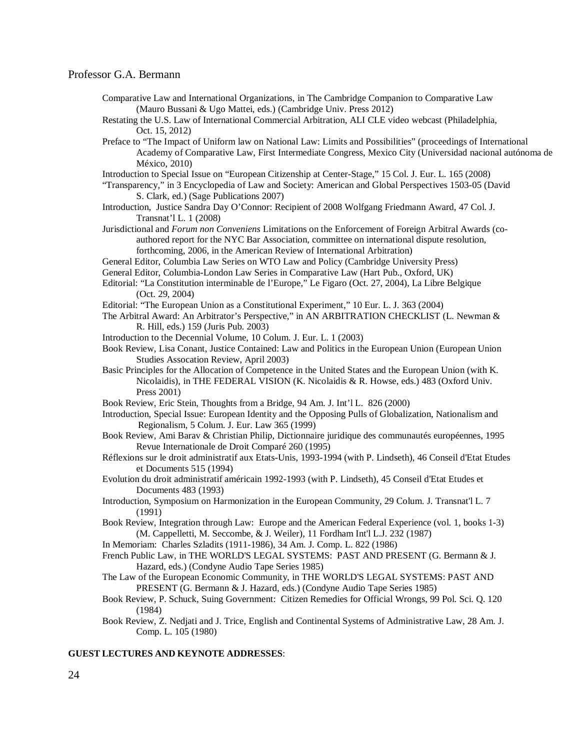- Comparative Law and International Organizations, in The Cambridge Companion to Comparative Law (Mauro Bussani & Ugo Mattei, eds.) (Cambridge Univ. Press 2012)
- Restating the U.S. Law of International Commercial Arbitration, ALI CLE video webcast (Philadelphia, Oct. 15, 2012)
- Preface to "The Impact of Uniform law on National Law: Limits and Possibilities" (proceedings of International Academy of Comparative Law, First Intermediate Congress, Mexico City (Universidad nacional autónoma de México, 2010)
- Introduction to Special Issue on "European Citizenship at Center-Stage," 15 Col. J. Eur. L. 165 (2008)
- "Transparency," in 3 Encyclopedia of Law and Society: American and Global Perspectives 1503-05 (David S. Clark, ed.) (Sage Publications 2007)
- Introduction, Justice Sandra Day O'Connor: Recipient of 2008 Wolfgang Friedmann Award, 47 Col. J. Transnat'l L. 1 (2008)
- Jurisdictional and *Forum non Conveniens* Limitations on the Enforcement of Foreign Arbitral Awards (coauthored report for the NYC Bar Association, committee on international dispute resolution, forthcoming, 2006, in the American Review of International Arbitration)
- General Editor, Columbia Law Series on WTO Law and Policy (Cambridge University Press)
- General Editor, Columbia-London Law Series in Comparative Law (Hart Pub., Oxford, UK)
- Editorial: "La Constitution interminable de l'Europe," Le Figaro (Oct. 27, 2004), La Libre Belgique (Oct. 29, 2004)
- Editorial: "The European Union as a Constitutional Experiment," 10 Eur. L. J. 363 (2004)
- The Arbitral Award: An Arbitrator's Perspective," in AN ARBITRATION CHECKLIST (L. Newman & R. Hill, eds.) 159 (Juris Pub. 2003)
- Introduction to the Decennial Volume, 10 Colum. J. Eur. L. 1 (2003)
- Book Review, Lisa Conant, Justice Contained: Law and Politics in the European Union (European Union Studies Assocation Review, April 2003)
- Basic Principles for the Allocation of Competence in the United States and the European Union (with K. Nicolaidis), in THE FEDERAL VISION (K. Nicolaidis & R. Howse, eds.) 483 (Oxford Univ. Press 2001)
- Book Review, Eric Stein, Thoughts from a Bridge, 94 Am. J. Int'l L. 826 (2000)
- Introduction, Special Issue: European Identity and the Opposing Pulls of Globalization, Nationalism and Regionalism, 5 Colum. J. Eur. Law 365 (1999)
- Book Review, Ami Barav & Christian Philip, Dictionnaire juridique des communautés européennes, 1995 Revue Internationale de Droit Comparé 260 (1995)
- Réflexions sur le droit administratif aux Etats-Unis, 1993-1994 (with P. Lindseth), 46 Conseil d'Etat Etudes et Documents 515 (1994)
- Evolution du droit administratif américain 1992-1993 (with P. Lindseth), 45 Conseil d'Etat Etudes et Documents 483 (1993)
- Introduction, Symposium on Harmonization in the European Community, 29 Colum. J. Transnat'l L. 7 (1991)
- Book Review, Integration through Law: Europe and the American Federal Experience (vol. 1, books 1-3) (M. Cappelletti, M. Seccombe, & J. Weiler), 11 Fordham Int'l L.J. 232 (1987)
- In Memoriam: Charles Szladits (1911-1986), 34 Am. J. Comp. L. 822 (1986)
- French Public Law, in THE WORLD'S LEGAL SYSTEMS: PAST AND PRESENT (G. Bermann & J. Hazard, eds.) (Condyne Audio Tape Series 1985)
- The Law of the European Economic Community, in THE WORLD'S LEGAL SYSTEMS: PAST AND PRESENT (G. Bermann & J. Hazard, eds.) (Condyne Audio Tape Series 1985)
- Book Review, P. Schuck, Suing Government: Citizen Remedies for Official Wrongs, 99 Pol. Sci. Q. 120 (1984)
- Book Review, Z. Nedjati and J. Trice, English and Continental Systems of Administrative Law, 28 Am. J. Comp. L. 105 (1980)

#### **GUEST LECTURES AND KEYNOTE ADDRESSES**: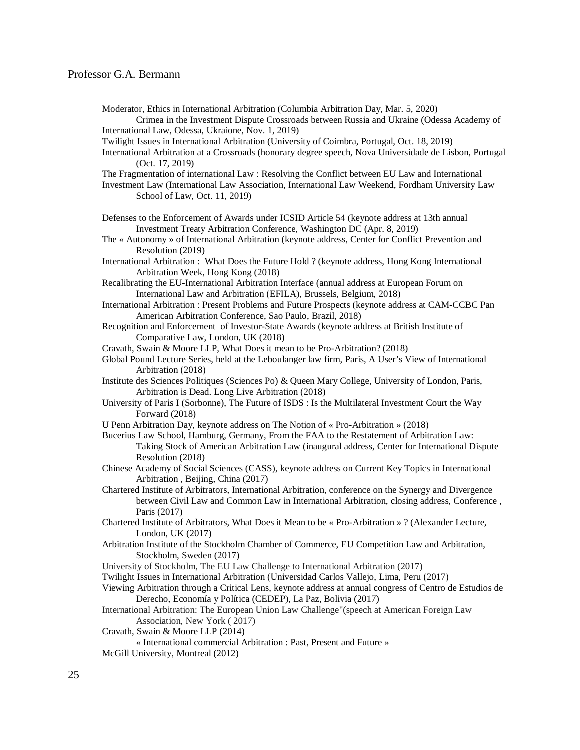Moderator, Ethics in International Arbitration (Columbia Arbitration Day, Mar. 5, 2020)

Crimea in the Investment Dispute Crossroads between Russia and Ukraine (Odessa Academy of International Law, Odessa, Ukraione, Nov. 1, 2019)

Twilight Issues in International Arbitration (University of Coimbra, Portugal, Oct. 18, 2019)

International Arbitration at a Crossroads (honorary degree speech, Nova Universidade de Lisbon, Portugal (Oct. 17, 2019)

The Fragmentation of international Law : Resolving the Conflict between EU Law and International

Investment Law (International Law Association, International Law Weekend, Fordham University Law School of Law, Oct. 11, 2019)

Defenses to the Enforcement of Awards under ICSID Article 54 (keynote address at 13th annual Investment Treaty Arbitration Conference, Washington DC (Apr. 8, 2019)

The « Autonomy » of International Arbitration (keynote address, Center for Conflict Prevention and Resolution (2019)

International Arbitration : What Does the Future Hold ? (keynote address, Hong Kong International Arbitration Week, Hong Kong (2018)

Recalibrating the EU-International Arbitration Interface (annual address at European Forum on International Law and Arbitration (EFILA), Brussels, Belgium, 2018)

International Arbitration : Present Problems and Future Prospects (keynote address at CAM-CCBC Pan American Arbitration Conference, Sao Paulo, Brazil, 2018)

Recognition and Enforcement of Investor-State Awards (keynote address at British Institute of Comparative Law, London, UK (2018)

Cravath, Swain & Moore LLP, What Does it mean to be Pro-Arbitration? (2018)

- Global Pound Lecture Series, held at the Leboulanger law firm, Paris, A User's View of International Arbitration (2018)
- Institute des Sciences Politiques (Sciences Po) & Queen Mary College, University of London, Paris, Arbitration is Dead. Long Live Arbitration (2018)
- University of Paris I (Sorbonne), The Future of ISDS : Is the Multilateral Investment Court the Way Forward (2018)
- U Penn Arbitration Day, keynote address on The Notion of « Pro-Arbitration » (2018)
- Bucerius Law School, Hamburg, Germany, From the FAA to the Restatement of Arbitration Law: Taking Stock of American Arbitration Law (inaugural address, Center for International Dispute Resolution (2018)
- Chinese Academy of Social Sciences (CASS), keynote address on Current Key Topics in International Arbitration , Beijing, China (2017)
- Chartered Institute of Arbitrators, International Arbitration, conference on the Synergy and Divergence between Civil Law and Common Law in International Arbitration, closing address, Conference , Paris (2017)
- Chartered Institute of Arbitrators, What Does it Mean to be « Pro-Arbitration » ? (Alexander Lecture, London, UK (2017)
- Arbitration Institute of the Stockholm Chamber of Commerce, EU Competition Law and Arbitration, Stockholm, Sweden (2017)
- University of Stockholm, The EU Law Challenge to International Arbitration (2017)
- Twilight Issues in International Arbitration (Universidad Carlos Vallejo, Lima, Peru (2017)

Viewing Arbitration through a Critical Lens, keynote address at annual congress of Centro de Estudios de Derecho, Economía y Política (CEDEP), La Paz, Bolivia (2017)

International Arbitration: The European Union Law Challenge"(speech at American Foreign Law Association, New York ( 2017)

Cravath, Swain & Moore LLP (2014)

« International commercial Arbitration : Past, Present and Future »

McGill University, Montreal (2012)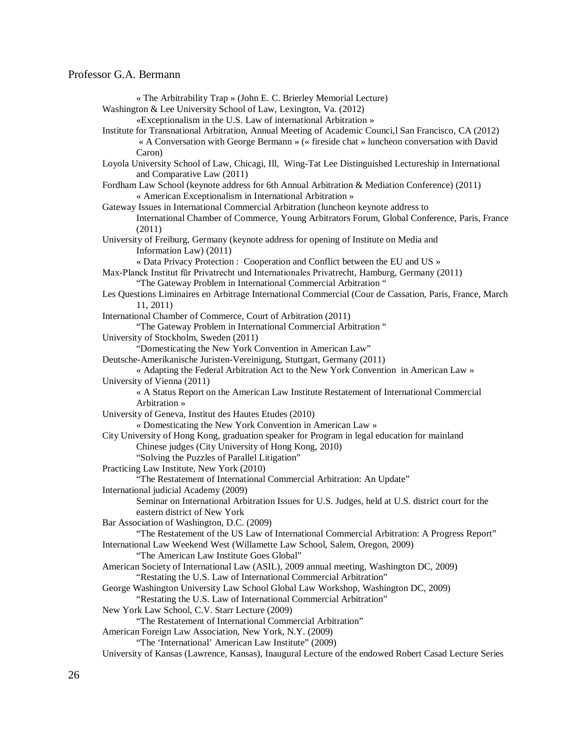| « The Arbitrability Trap » (John E. C. Brierley Memorial Lecture)                                       |
|---------------------------------------------------------------------------------------------------------|
| Washington & Lee University School of Law, Lexington, Va. (2012)                                        |
| «Exceptionalism in the U.S. Law of international Arbitration »                                          |
| Institute for Transnational Arbitration, Annual Meeting of Academic Counci, I San Francisco, CA (2012)  |
| « A Conversation with George Bermann » (« fireside chat » luncheon conversation with David              |
| Caron)                                                                                                  |
| Loyola University School of Law, Chicagi, Ill, Wing-Tat Lee Distinguished Lectureship in International  |
|                                                                                                         |
| and Comparative Law (2011)                                                                              |
| Fordham Law School (keynote address for 6th Annual Arbitration & Mediation Conference) (2011)           |
| « American Exceptionalism in International Arbitration »                                                |
| Gateway Issues in International Commercial Arbitration (luncheon keynote address to                     |
| International Chamber of Commerce, Young Arbitrators Forum, Global Conference, Paris, France            |
| (2011)                                                                                                  |
| University of Freiburg, Germany (keynote address for opening of Institute on Media and                  |
| Information Law) (2011)                                                                                 |
| « Data Privacy Protection : Cooperation and Conflict between the EU and US »                            |
| Max-Planck Institut für Privatrecht und Internationales Privatrecht, Hamburg, Germany (2011)            |
| "The Gateway Problem in International Commercial Arbitration"                                           |
| Les Questions Liminaires en Arbitrage International Commercial (Cour de Cassation, Paris, France, March |
| 11, 2011)                                                                                               |
| International Chamber of Commerce, Court of Arbitration (2011)                                          |
| "The Gateway Problem in International Commercial Arbitration"                                           |
|                                                                                                         |
| University of Stockholm, Sweden (2011)<br>"Domesticating the New York Convention in American Law"       |
|                                                                                                         |
| Deutsche-Amerikanische Juristen-Vereinigung, Stuttgart, Germany (2011)                                  |
| « Adapting the Federal Arbitration Act to the New York Convention in American Law »                     |
| University of Vienna (2011)                                                                             |
| « A Status Report on the American Law Institute Restatement of International Commercial                 |
| Arbitration »                                                                                           |
| University of Geneva, Institut des Hautes Etudes (2010)                                                 |
| « Domesticating the New York Convention in American Law »                                               |
| City University of Hong Kong, graduation speaker for Program in legal education for mainland            |
| Chinese judges (City University of Hong Kong, 2010)                                                     |
| "Solving the Puzzles of Parallel Litigation"                                                            |
| Practicing Law Institute, New York (2010)                                                               |
| "The Restatement of International Commercial Arbitration: An Update"                                    |
| International judicial Academy (2009)                                                                   |
| Seminar on International Arbitration Issues for U.S. Judges, held at U.S. district court for the        |
| eastern district of New York                                                                            |
| Bar Association of Washington, D.C. (2009)                                                              |
| "The Restatement of the US Law of International Commercial Arbitration: A Progress Report"              |
| International Law Weekend West (Willamette Law School, Salem, Oregon, 2009)                             |
| "The American Law Institute Goes Global"                                                                |
|                                                                                                         |
| American Society of International Law (ASIL), 2009 annual meeting, Washington DC, 2009)                 |
| "Restating the U.S. Law of International Commercial Arbitration"                                        |
| George Washington University Law School Global Law Workshop, Washington DC, 2009)                       |
| "Restating the U.S. Law of International Commercial Arbitration"                                        |
| New York Law School, C.V. Starr Lecture (2009)                                                          |
| "The Restatement of International Commercial Arbitration"                                               |
| American Foreign Law Association, New York, N.Y. (2009)                                                 |
| "The 'International' American Law Institute" (2009)                                                     |
| University of Kansas (Lawrence, Kansas), Inaugural Lecture of the endowed Robert Casad Lecture Series   |
|                                                                                                         |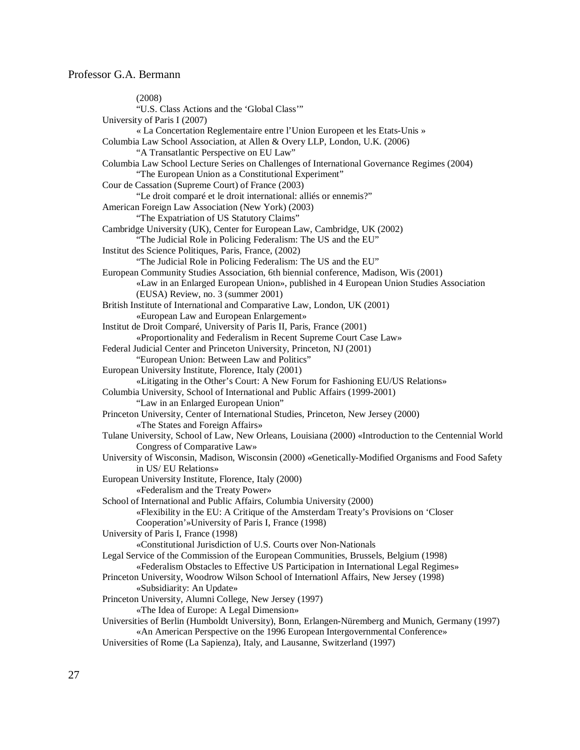(2008) "U.S. Class Actions and the 'Global Class'" University of Paris I (2007) « La Concertation Reglementaire entre l'Union Europeen et les Etats-Unis » Columbia Law School Association, at Allen & Overy LLP, London, U.K. (2006) "A Transatlantic Perspective on EU Law" Columbia Law School Lecture Series on Challenges of International Governance Regimes (2004) "The European Union as a Constitutional Experiment" Cour de Cassation (Supreme Court) of France (2003) "Le droit comparé et le droit international: alliés or ennemis?" American Foreign Law Association (New York) (2003) "The Expatriation of US Statutory Claims" Cambridge University (UK), Center for European Law, Cambridge, UK (2002) "The Judicial Role in Policing Federalism: The US and the EU" Institut des Science Politiques, Paris, France, (2002) "The Judicial Role in Policing Federalism: The US and the EU" European Community Studies Association, 6th biennial conference, Madison, Wis (2001) «Law in an Enlarged European Union», published in 4 European Union Studies Association (EUSA) Review, no. 3 (summer 2001) British Institute of International and Comparative Law, London, UK (2001) «European Law and European Enlargement» Institut de Droit Comparé, University of Paris II, Paris, France (2001) «Proportionality and Federalism in Recent Supreme Court Case Law» Federal Judicial Center and Princeton University, Princeton, NJ (2001) "European Union: Between Law and Politics" European University Institute, Florence, Italy (2001) «Litigating in the Other's Court: A New Forum for Fashioning EU/US Relations» Columbia University, School of International and Public Affairs (1999-2001) "Law in an Enlarged European Union" Princeton University, Center of International Studies, Princeton, New Jersey (2000) «The States and Foreign Affairs» Tulane University, School of Law, New Orleans, Louisiana (2000) «Introduction to the Centennial World Congress of Comparative Law» University of Wisconsin, Madison, Wisconsin (2000) «Genetically-Modified Organisms and Food Safety in US/ EU Relations» European University Institute, Florence, Italy (2000) «Federalism and the Treaty Power» School of International and Public Affairs, Columbia University (2000) «Flexibility in the EU: A Critique of the Amsterdam Treaty's Provisions on 'Closer Cooperation'»University of Paris I, France (1998) University of Paris I, France (1998) «Constitutional Jurisdiction of U.S. Courts over Non-Nationals Legal Service of the Commission of the European Communities, Brussels, Belgium (1998) «Federalism Obstacles to Effective US Participation in International Legal Regimes» Princeton University, Woodrow Wilson School of Internationl Affairs, New Jersey (1998) «Subsidiarity: An Update» Princeton University, Alumni College, New Jersey (1997) «The Idea of Europe: A Legal Dimension» Universities of Berlin (Humboldt University), Bonn, Erlangen-Nüremberg and Munich, Germany (1997) «An American Perspective on the 1996 European Intergovernmental Conference» Universities of Rome (La Sapienza), Italy, and Lausanne, Switzerland (1997)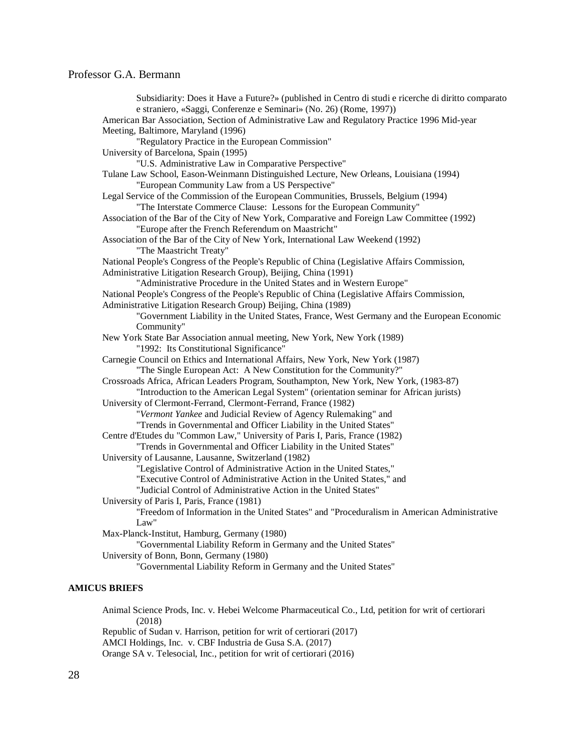Subsidiarity: Does it Have a Future?» (published in Centro di studi e ricerche di diritto comparato e straniero, «Saggi, Conferenze e Seminari» (No. 26) (Rome, 1997)) American Bar Association, Section of Administrative Law and Regulatory Practice 1996 Mid-year Meeting, Baltimore, Maryland (1996) "Regulatory Practice in the European Commission" University of Barcelona, Spain (1995) "U.S. Administrative Law in Comparative Perspective" Tulane Law School, Eason-Weinmann Distinguished Lecture, New Orleans, Louisiana (1994) "European Community Law from a US Perspective" Legal Service of the Commission of the European Communities, Brussels, Belgium (1994) "The Interstate Commerce Clause: Lessons for the European Community" Association of the Bar of the City of New York, Comparative and Foreign Law Committee (1992) "Europe after the French Referendum on Maastricht" Association of the Bar of the City of New York, International Law Weekend (1992) "The Maastricht Treaty" National People's Congress of the People's Republic of China (Legislative Affairs Commission, Administrative Litigation Research Group), Beijing, China (1991) "Administrative Procedure in the United States and in Western Europe" National People's Congress of the People's Republic of China (Legislative Affairs Commission, Administrative Litigation Research Group) Beijing, China (1989) "Government Liability in the United States, France, West Germany and the European Economic Community" New York State Bar Association annual meeting, New York, New York (1989) "1992: Its Constitutional Significance" Carnegie Council on Ethics and International Affairs, New York, New York (1987) "The Single European Act: A New Constitution for the Community?" Crossroads Africa, African Leaders Program, Southampton, New York, New York, (1983-87) "Introduction to the American Legal System" (orientation seminar for African jurists) University of Clermont-Ferrand, Clermont-Ferrand, France (1982) "*Vermont Yankee* and Judicial Review of Agency Rulemaking" and "Trends in Governmental and Officer Liability in the United States" Centre d'Etudes du "Common Law," University of Paris I, Paris, France (1982) "Trends in Governmental and Officer Liability in the United States" University of Lausanne, Lausanne, Switzerland (1982) "Legislative Control of Administrative Action in the United States," "Executive Control of Administrative Action in the United States," and "Judicial Control of Administrative Action in the United States" University of Paris I, Paris, France (1981) "Freedom of Information in the United States" and "Proceduralism in American Administrative Law" Max-Planck-Institut, Hamburg, Germany (1980) "Governmental Liability Reform in Germany and the United States" University of Bonn, Bonn, Germany (1980) "Governmental Liability Reform in Germany and the United States"

#### **AMICUS BRIEFS**

Animal Science Prods, Inc. v. Hebei Welcome Pharmaceutical Co., Ltd, petition for writ of certiorari (2018) Republic of Sudan v. Harrison, petition for writ of certiorari (2017) AMCI Holdings, Inc. v. CBF Industria de Gusa S.A. (2017) Orange SA v. Telesocial, Inc., petition for writ of certiorari (2016)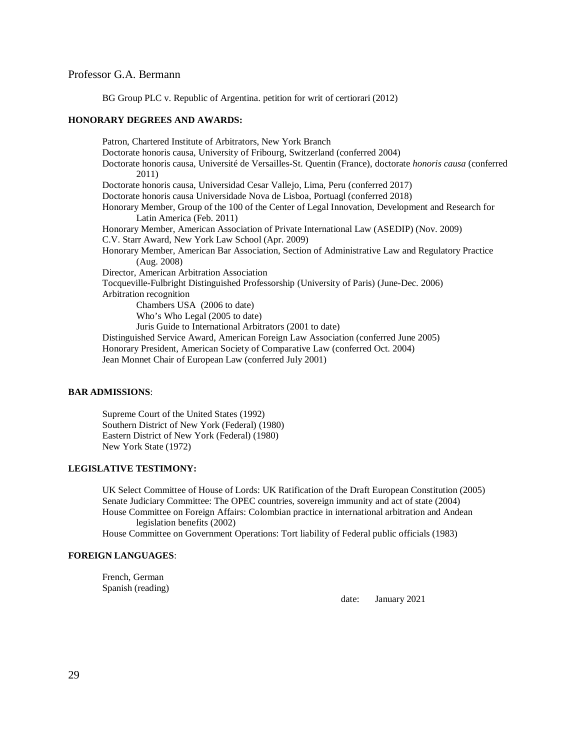BG Group PLC v. Republic of Argentina. petition for writ of certiorari (2012)

#### **HONORARY DEGREES AND AWARDS:**

Patron, Chartered Institute of Arbitrators, New York Branch Doctorate honoris causa, University of Fribourg, Switzerland (conferred 2004) Doctorate honoris causa, Université de Versailles-St. Quentin (France), doctorate *honoris causa* (conferred 2011) Doctorate honoris causa, Universidad Cesar Vallejo, Lima, Peru (conferred 2017) Doctorate honoris causa Universidade Nova de Lisboa, Portuagl (conferred 2018) Honorary Member, Group of the 100 of the Center of Legal Innovation, Development and Research for Latin America (Feb. 2011) Honorary Member, American Association of Private International Law (ASEDIP) (Nov. 2009) C.V. Starr Award, New York Law School (Apr. 2009) Honorary Member, American Bar Association, Section of Administrative Law and Regulatory Practice (Aug. 2008) Director, American Arbitration Association Tocqueville-Fulbright Distinguished Professorship (University of Paris) (June-Dec. 2006) Arbitration recognition Chambers USA (2006 to date) Who's Who Legal (2005 to date) Juris Guide to International Arbitrators (2001 to date) Distinguished Service Award, American Foreign Law Association (conferred June 2005) Honorary President, American Society of Comparative Law (conferred Oct. 2004) Jean Monnet Chair of European Law (conferred July 2001)

#### **BAR ADMISSIONS**:

Supreme Court of the United States (1992) Southern District of New York (Federal) (1980) Eastern District of New York (Federal) (1980) New York State (1972)

#### **LEGISLATIVE TESTIMONY:**

UK Select Committee of House of Lords: UK Ratification of the Draft European Constitution (2005) Senate Judiciary Committee: The OPEC countries, sovereign immunity and act of state (2004) House Committee on Foreign Affairs: Colombian practice in international arbitration and Andean legislation benefits (2002)

House Committee on Government Operations: Tort liability of Federal public officials (1983)

#### **FOREIGN LANGUAGES**:

French, German Spanish (reading)

date: January 2021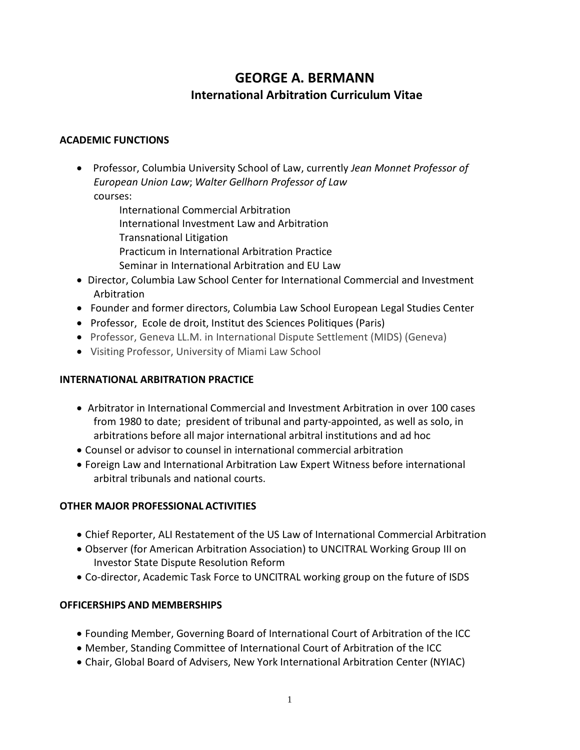# **GEORGE A. BERMANN International Arbitration Curriculum Vitae**

### **ACADEMIC FUNCTIONS**

- •Professor, Columbia University School of Law, currently *Jean Monnet Professor of European Union Law*; *Walter Gellhorn Professor of Law* courses:
	- International Commercial Arbitration International Investment Law and Arbitration Transnational Litigation Practicum in International Arbitration Practice Seminar in International Arbitration and EU Law
- Director, Columbia Law School Center for International Commercial and Investment Arbitration
- Founder and former directors, Columbia Law School European Legal Studies Center
- •Professor, Ecole de droit, Institut des Sciences Politiques (Paris)
- •Professor, Geneva LL.M. in International Dispute Settlement (MIDS) (Geneva)
- •Visiting Professor, University of Miami Law School

# **INTERNATIONAL ARBITRATION PRACTICE**

- Arbitrator in International Commercial and Investment Arbitration in over 100 cases from 1980 to date; president of tribunal and party-appointed, as well as solo, in arbitrations before all major international arbitral institutions and ad hoc
- Counsel or advisor to counsel in international commercial arbitration
- Foreign Law and International Arbitration Law Expert Witness before international arbitral tribunals and national courts.

# **OTHER MAJOR PROFESSIONAL ACTIVITIES**

- Chief Reporter, ALI Restatement of the US Law of International Commercial Arbitration
- Observer (for American Arbitration Association) to UNCITRAL Working Group III on Investor State Dispute Resolution Reform
- Co-director, Academic Task Force to UNCITRAL working group on the future of ISDS

# **OFFICERSHIPS AND MEMBERSHIPS**

- Founding Member, Governing Board of International Court of Arbitration of the ICC
- Member, Standing Committee of International Court of Arbitration of the ICC
- Chair, Global Board of Advisers, New York International Arbitration Center (NYIAC)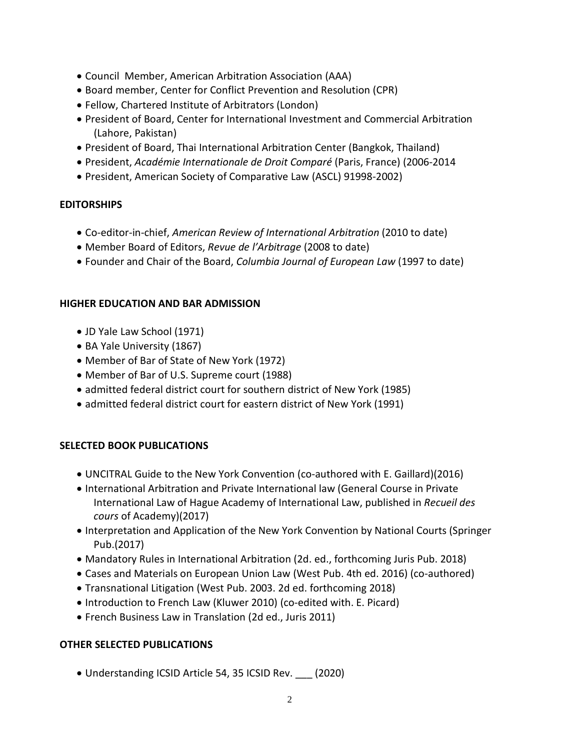- Council Member, American Arbitration Association (AAA)
- Board member, Center for Conflict Prevention and Resolution (CPR)
- Fellow, Chartered Institute of Arbitrators (London)
- President of Board, Center for International Investment and Commercial Arbitration (Lahore, Pakistan)
- President of Board, Thai International Arbitration Center (Bangkok, Thailand)
- President, *Académie Internationale de Droit Comparé* (Paris, France) (2006-2014
- President, American Society of Comparative Law (ASCL) 91998-2002)

### **EDITORSHIPS**

- Co-editor-in-chief, *American Review of International Arbitration* (2010 to date)
- Member Board of Editors, *Revue de l'Arbitrage* (2008 to date)
- Founder and Chair of the Board, *Columbia Journal of European Law* (1997 to date)

### **HIGHER EDUCATION AND BAR ADMISSION**

- JD Yale Law School (1971)
- BA Yale University (1867)
- Member of Bar of State of New York (1972)
- Member of Bar of U.S. Supreme court (1988)
- admitted federal district court for southern district of New York (1985)
- admitted federal district court for eastern district of New York (1991)

# **SELECTED BOOK PUBLICATIONS**

- UNCITRAL Guide to the New York Convention (co-authored with E. Gaillard)(2016)
- International Arbitration and Private International law (General Course in Private International Law of Hague Academy of International Law, published in *Recueil des cours* of Academy)(2017)
- Interpretation and Application of the New York Convention by National Courts (Springer Pub.(2017)
- Mandatory Rules in International Arbitration (2d. ed., forthcoming Juris Pub. 2018)
- Cases and Materials on European Union Law (West Pub. 4th ed. 2016) (co-authored)
- Transnational Litigation (West Pub. 2003. 2d ed. forthcoming 2018)
- Introduction to French Law (Kluwer 2010) (co-edited with. E. Picard)
- French Business Law in Translation (2d ed., Juris 2011)

# **OTHER SELECTED PUBLICATIONS**

• Understanding ICSID Article 54, 35 ICSID Rev. \_\_\_ (2020)